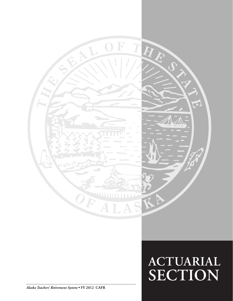

# **Actuarial SECTION**

*Alaska Teachers' Retirement System* **• FY 2012 CAFR**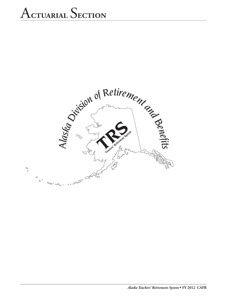# A**ctuarial** S**ection**

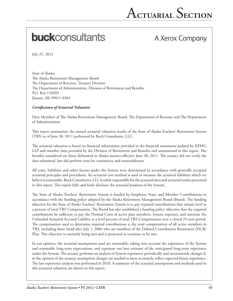# **buck**consultants

# A Xerox Company

July 25, 2012

State of Alaska The Alaska Retirement Management Board The Department of Revenue, Treasury Division The Department of Administration, Division of Retirement and Benefits P.O. Box 110203 Juneau, AK 99811-0203

#### *Certification of Actuarial Valuation*

Dear Members of The Alaska Retirement Management Board, The Department of Revenue and The Department of Administration:

This report summarizes the annual actuarial valuation results of the State of Alaska Teachers' Retirement System (TRS) as of June 30, 2011 performed by Buck Consultants, LLC.

The actuarial valuation is based on financial information provided in the financial statements audited by KPMG LLP and member data provided by the Division of Retirement and Benefits and summarized in this report. The benefits considered are those delineated in Alaska statutes effective June 30, 2011. The actuary did not verify the data submitted, but did perform tests for consistency and reasonableness.

All costs, liabilities and other factors under the System were determined in accordance with generally accepted actuarial principles and procedures. An actuarial cost method is used to measure the actuarial liabilities which we believe is reasonable. Buck Consultants, LLC is solely responsible for the actuarial data and actuarial results presented in this report. This report fully and fairly discloses the actuarial position of the System.

The State of Alaska Teachers' Retirement System is funded by Employer, State, and Member Contributions in accordance with the funding policy adopted by the Alaska Retirement Management Board (Board). The funding objective for the State of Alaska Teachers' Retirement System is to pay required contributions that remain level as a percent of total TRS Compensation. The Board has also established a funding policy objective that the required contributions be sufficient to pay the Normal Costs of active plan members, System expenses, and amortize the Unfunded Actuarial Accrued Liability as a level percent of total TRS Compensation over a closed 25-year period. The compensation used to determine required contributions is the total compensation of all active members in TRS, including those hired after July 1, 2006 who are members of the Defined Contribution Retirement (DCR) Plan. This objective is currently being met and is projected to continue to be met.

In our opinion, the actuarial assumptions used are reasonable, taking into account the experience of the System and reasonable long-term expectations, and represent our best estimate of the anticipated long-term experience under the System. The actuary performs an analysis of System experience periodically and recommends changes if, in the opinion of the actuary, assumption changes are needed to more accurately reflect expected future experience. The last experience analysis was performed in 2010. A summary of the actuarial assumptions and methods used in this actuarial valuation are shown in this report.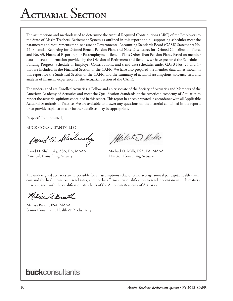# A**ctuarial** S**ection**

The assumptions and methods used to determine the Annual Required Contributions (ARC) of the Employers to the State of Alaska Teachers' Retirement System as outlined in this report and all supporting schedules meet the parameters and requirements for disclosure of Governmental Accounting Standards Board (GASB) Statements No. 25, Financial Reporting for Defined Benefit Pension Plans and Note Disclosures for Defined Contribution Plans, and No. 43, Financial Reporting for Postemployment Benefit Plans Other Than Pension Plans. Based on member data and asset information provided by the Division of Retirement and Benefits, we have prepared the Schedule of Funding Progress, Schedule of Employer Contributions, and trend data schedules under GASB Nos. 25 and 43 that are included in the Financial Section of the CAFR. We have also prepared the member data tables shown in this report for the Statistical Section of the CAFR, and the summary of actuarial assumptions, solvency test, and analysis of financial experience for the Actuarial Section of the CAFR.

The undersigned are Enrolled Actuaries, a Fellow and an Associate of the Society of Actuaries and Members of the American Academy of Actuaries and meet the Qualification Standards of the American Academy of Actuaries to render the actuarial opinions contained in this report. This report has been prepared in accordance with all Applicable Actuarial Standards of Practice. We are available to answer any questions on the material contained in the report, or to provide explanations or further details as may be appropriate.

Respectfully submitted,

BUCK CONSULTANTS, LLC

Denid H. Alschinsky

David H. Slishinsky, ASA, EA, MAAA Michael D. Mills, FSA, EA, MAAA Principal, Consulting Actuary **Director, Consulting Actuary** 

While D. Wills

The undersigned actuaries are responsible for all assumptions related to the average annual per capita health claims cost and the health care cost trend rates, and hereby affirms their qualification to render opinions in such matters, in accordance with the qualification standards of the American Academy of Actuaries.

Relisse A. Bist

Melissa Bissett, FSA, MAAA Senior Consultant, Health & Productivity

# **buck**consultants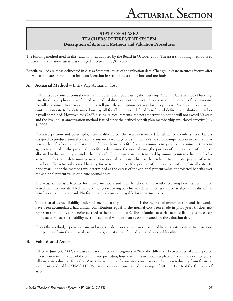The funding method used in this valuation was adopted by the Board in October 2006. The asset smoothing method used to determine valuation assets was changed effective June 30, 2002.

Benefits valued are those delineated in Alaska State statutes as of the valuation date. Changes in State statutes effective after the valuation date are not taken into consideration in setting the assumptions and methods.

# **A. Actuarial Method –** Entry Age Actuarial Cost

Liabilities and contributions shown in the report are computed using the Entry Age Actuarial Cost method of funding. Any funding surpluses or unfunded accrued liability is amortized over 25 years as a level percent of pay amount. Payroll is assumed to increase by the payroll growth assumption per year for this purpose. State statutes allow the contribution rate to be determined on payroll for all members, defined benefit and defined contribution member payroll combined. However, for GASB disclosure requirements, the net amortization period will not exceed 30 years and the level dollar amortization method is used since the defined benefit plan membership was closed effective July 1, 2006.

Projected pension and postemployment healthcare benefits were determined for all active members. Cost factors designed to produce annual costs as a constant percentage of each member's expected compensation in each year for pension benefits (constant dollar amount for healthcare benefits) from the assumed entry age to the assumed retirement age were applied to the projected benefits to determine the normal cost (the portion of the total cost of the plan allocated to the current year under the method). The normal cost is determined by summing intermediate results for active members and determining an average normal cost rate which is then related to the total payroll of active members. The actuarial accrued liability for active members (the portion of the total cost of the plan allocated to prior years under the method) was determined as the excess of the actuarial present value of projected benefits over the actuarial present value of future normal costs.

The actuarial accrued liability for retired members and their beneficiaries currently receiving benefits, terminated vested members and disabled members not yet receiving benefits was determined as the actuarial present value of the benefits expected to be paid. No future normal costs are payable for these members.

The actuarial accrued liability under this method at any point in time is the theoretical amount of the fund that would have been accumulated had annual contributions equal to the normal cost been made in prior years (it does not represent the liability for benefits accrued to the valuation date). The unfunded actuarial accrued liability is the excess of the actuarial accrued liability over the actuarial value of plan assets measured on the valuation date.

Under this method, experience gains or losses, i.e., decreases or increases in accrued liabilities attributable to deviations in experience from the actuarial assumptions, adjust the unfunded actuarial accrued liability.

## **B. Valuation of Assets**

Effective June 30, 2002, the asset valuation method recognizes 20% of the difference between actual and expected investment return in each of the current and preceding four years. This method was phased in over the next five years. All assets are valued at fair value. Assets are accounted for on an accrued basis and are taken directly from financial statements audited by KPMG LLP. Valuation assets are constrained to a range of 80% to 120% of the fair value of assets.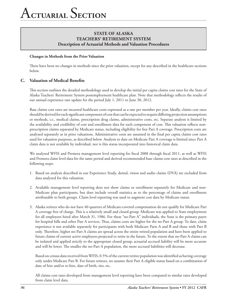#### **Changes in Methods from the Prior Valuation**

There have been no changes in methods since the prior valuation, except for any described in the healthcare sections below.

## **C. Valuation of Medical Benefits**

This section outlines the detailed methodology used to develop the initial per capita claims cost rates for the State of Alaska Teachers' Retirement System postemployment healthcare plan. Note that methodology reflects the results of our annual experience rate update for the period July 1, 2011 to June 30, 2012.

Base claims cost rates are incurred healthcare costs expressed as a rate per member per year. Ideally, claims cost rates should be derived for each significant component of cost that can be expected to require differing projection assumptions or methods, i.e., medical claims, prescription drug claims, administrative costs, etc. Separate analysis is limited by the availability and credibility of cost and enrollment data for each component of cost. This valuation reflects nonprescription claims separated by Medicare status, including eligibility for free Part A coverage. Prescription costs are analyzed separately as in prior valuations. Administrative costs are assumed in the final per capita claims cost rates used for valuation purposes, as described below. Analysis to date on Medicare Part A coverage is limited since Part A claim data is not available by individual, nor is this status incorporated into historical claim data.

We analyzed WFIS and Premera management level reporting for fiscal 2008 through fiscal 2011, as well as WFIS and Premera claim level data for the same period and derived recommended base claims cost rates as described in the following steps:

- 1. Based on analysis described in our Experience Study, dental, vision and audio claims (DVA) are excluded from data analyzed for this valuation.
- 2. Available management level reporting does not show claims or enrollment separately for Medicare and non-Medicare plan participants, but does include overall statistics as to the percentage of claims and enrollment attributable to both groups. Claim level reporting was used to augment cost data by Medicare status.
- 3. Alaska retirees who do not have 40 quarters of Medicare-covered compensation do not qualify for Medicare Part A coverage free of charge. This is a relatively small and closed group. Medicare was applied to State employment for all employees hired after March 31, 1986. For these "no-Part A" individuals, the State is the primary payer for hospital bills and other Part A services. Thus, claims costs are higher for the no-Part A group. To date, claim experience is not available separately for participants with both Medicare Parts A and B and those with Part B only. Therefore, higher no-Part A claims are spread across the entire retired population and have been applied to future claims of current active employees projected to retire in the future. To the extent that no-Part A claims can be isolated and applied strictly to the appropriate closed group, actuarial accrued liability will be more accurate and will be lower. The smaller the no-Part A population, the more accrued liabilities will decrease.

Based on census data received from WFIS, 0.5% of the current retiree population was identified as having coverage only under Medicare Part B. For future retirees, we assume their Part A eligible status based on a combination of date of hire and/or re-hire, date of birth, tier, etc.

All claims cost rates developed from management level reporting have been compared to similar rates developed from claim level data.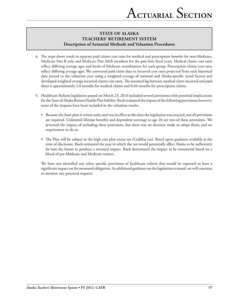- 4. The steps above result in separate paid claims cost rates for medical and prescription benefits for non-Medicare, Medicare Part B only and Medicare Part A&B members for the past four fiscal years. Medical claims cost rates reflect differing average ages and levels of Medicare coordination for each group. Prescription claims cost rates reflect differing average ages. We converted paid claim data to incurred cost rates projected from each historical data period to the valuation year using a weighted average of national and Alaska-specific trend factors and developed weighted average incurred claims cost rates. The assumed lag between medical claim incurred and paid dates is approximately 2.0 months for medical claims and 0.04 months for prescription claims.
- 5. Healthcare Reform legislation passed on March 23, 2010 included several provisions with potential implications for the State of Alaska Retiree Health Plan liability. Buck evaluated the impact of the following provisions; however, none of the impacts have been included in the valuation results.
	- • Because the State plan is retiree-only, and was in effect at the time the legislation was enacted, not all provisions are required. Unlimited lifetime benefits and dependent coverage to age 26 are two of these provisions. We reviewed the impact of including these provisions, but there was no decision made to adopt them, and no requirement to do so.
	- • The Plan will be subject to the high cost plan excise tax (Cadillac tax). Based upon guidance available at the time of disclosure, Buck estimated the year in which the tax would potentially affect Alaska to be sufficiently far into the future to produce a minimal impact. Buck determined the impact to be immaterial based on a blend of pre-Medicare and Medicare retirees.

We have not identified any other specific provisions of healthcare reform that would be expected to have a significant impact on the measured obligation. As additional guidance on the legislation is issued, we will continue to monitor any potential impacts.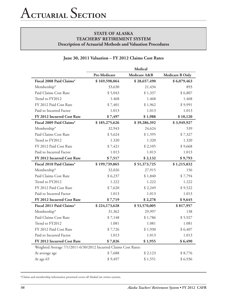# **June 30, 2011 Valuation – FY 2012 Claims Cost Rates**

|                                                                 | Medical       |              |                        |
|-----------------------------------------------------------------|---------------|--------------|------------------------|
|                                                                 | Pre-Medicare  | Medicare A&B | <b>Medicare B Only</b> |
| Fiscal 2008 Paid Claims*                                        | \$169,598,064 | \$28,657,490 | \$6,079,463            |
| Membership*                                                     | 33,630        | 21,434       | 893                    |
| Paid Claims Cost Rate                                           | \$5,043       | \$1,337      | \$6,807                |
| Trend to FY2012                                                 | 1.468         | 1.468        | 1.468                  |
| FY 2012 Paid Cost Rate                                          | \$7,401       | \$1,962      | \$9,991                |
| Paid to Incurred Factor                                         | 1.013         | 1.013        | 1.013                  |
| FY 2012 Incurred Cost Rate                                      | \$7,497       | \$1,988      | \$10,120               |
| Fiscal 2009 Paid Claims*                                        | \$185,275,626 | \$39,286,392 | \$3,949,927            |
| Membership*                                                     | 32,943        | 24,624       | 539                    |
| Paid Claims Cost Rate                                           | \$5,624       | \$1,595      | \$7,327                |
| Trend to FY2012                                                 | 1.320         | 1.320        | 1.320                  |
| FY 2012 Paid Cost Rate                                          | \$7,421       | \$2,105      | \$9,668                |
| Paid to Incurred Factor                                         | 1.013         | 1.013        | 1.013                  |
| FY 2012 Incurred Cost Rate                                      | \$7,517       | \$2,132      | \$9,793                |
| Fiscal 2010 Paid Claims*                                        | \$199,739,865 | \$51,373,725 | \$1,215,832            |
| Membership*                                                     | 32,026        | 27,915       | 156                    |
| Paid Claims Cost Rate                                           | \$6,237       | \$1,840      | \$7,794                |
| Trend to FY2012                                                 | 1.222         | 1.222        | 1.222                  |
| FY 2012 Paid Cost Rate                                          | \$7,620       | \$2,249      | \$9,522                |
| Paid to Incurred Factor                                         | 1.013         | 1.013        | 1.013                  |
| FY 2012 Incurred Cost Rate                                      | \$7,719       | \$2,278      | \$9,645                |
| Fiscal 2011 Paid Claims*                                        | \$224,173,628 | \$53,570,005 | \$817,957              |
| Membership*                                                     | 31,362        | 29,997       | 138                    |
| Paid Claims Cost Rate                                           | \$7,148       | \$1,786      | \$5,927                |
| Trend to FY2012                                                 | 1.081         | 1.081        | 1.081                  |
| FY 2012 Paid Cost Rate                                          | \$7,726       | \$1,930      | \$6,407                |
| Paid to Incurred Factor                                         | 1.013         | 1.013        | 1.013                  |
| FY 2012 Incurred Cost Rate                                      | \$7,826       | \$1,955      | \$6,490                |
| Weighted Average 7/1/2011-6/30/2012 Incurred Claims Cost Rates: |               |              |                        |
| At average age                                                  | \$7,688       | \$2,123      | \$8,776                |
| At age 65                                                       | \$9,497       | \$1,551      | \$6,936                |

\*Claims and membership information presented covers all AlaskaCare retiree systems.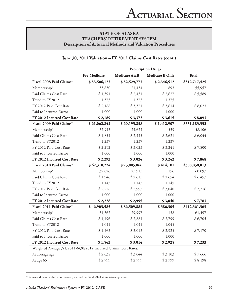#### **June 30, 2011 Valuation – FY 2012 Claims Cost Rates (cont.)**

|                                                                 | <b>Prescription Drugs</b> |              |                        |               |
|-----------------------------------------------------------------|---------------------------|--------------|------------------------|---------------|
|                                                                 | Pre-Medicare              | Medicare A&B | <b>Medicare B Only</b> | <b>Total</b>  |
| Fiscal 2008 Paid Claims*                                        | \$53,506,123              | \$52,529,773 | \$2,346,512            | \$312,717,425 |
| Membership*                                                     | 33,630                    | 21,434       | 893                    | 55,957        |
| Paid Claims Cost Rate                                           | \$1,591                   | \$2,451      | \$2,627                | \$5,589       |
| Trend to FY2012                                                 | 1.375                     | 1.375        | 1.375                  |               |
| FY 2012 Paid Cost Rate                                          | \$2,188                   | \$3,371      | \$3,614                | \$8,023       |
| Paid to Incurred Factor                                         | 1.000                     | 1.000        | 1.000                  |               |
| FY 2012 Incurred Cost Rate                                      | \$2,189                   | \$3,372      | \$3,615                | \$8,093       |
| Fiscal 2009 Paid Claims*                                        | \$61,062,842              | \$60,195,838 | \$1,412,907            | \$351,183,532 |
| Membership*                                                     | 32,943                    | 24,624       | 539                    | 58,106        |
| Paid Claims Cost Rate                                           | \$1,854                   | \$2,445      | \$2,621                | \$6,044       |
| Trend to FY2012                                                 | 1.237                     | 1.237        | 1,237                  |               |
| FY 2012 Paid Cost Rate                                          | \$2,292                   | \$3,023      | \$3,241                | \$7,800       |
| Paid to Incurred Factor                                         | 1.000                     | 1.000        | 1.000                  |               |
| FY 2012 Incurred Cost Rate                                      | \$2,293                   | \$3,024      | \$3,242                | \$7,868       |
| Fiscal 2010 Paid Claims*                                        | \$62,310,224              | \$73,005,066 | \$414,101              | \$388,058,813 |
| Membership*                                                     | 32,026                    | 27,915       | 156                    | 60,097        |
| Paid Claims Cost Rate                                           | \$1,946                   | \$2,615      | \$2,654                | \$6,457       |
| Trend to FY2012                                                 | 1.145                     | 1.145        | 1.145                  |               |
| FY 2012 Paid Cost Rate                                          | \$2,228                   | \$2,995      | \$3,040                | \$7,716       |
| Paid to Incurred Factor                                         | 1.000                     | 1.000        | 1.000                  |               |
| FY 2012 Incurred Cost Rate                                      | \$2,228                   | \$2,995      | \$3,040                | \$7,783       |
| Fiscal 2011 Paid Claims*                                        | \$46,903,585              | \$86,509,883 | \$386,305              | \$412,361,363 |
| Membership*                                                     | 31,362                    | 29,997       | 138                    | 61,497        |
| Paid Claims Cost Rate                                           | \$1,496                   | \$2,884      | \$2,799                | \$6,705       |
| Trend to FY2012                                                 | 1.045                     | 1.045        | 1.045                  |               |
| FY 2012 Paid Cost Rate                                          | \$1,563                   | \$3,013      | \$2,925                | \$7,170       |
| Paid to Incurred Factor                                         | 1.000                     | 1.000        | 1.000                  |               |
| FY 2012 Incurred Cost Rate                                      | \$1,563                   | \$3,014      | \$2,925                | \$7,233       |
| Weighted Average 7/1/2011-6/30/2012 Incurred Claims Cost Rates: |                           |              |                        |               |
| At average age                                                  | \$2,038                   | \$3,044      | \$3,103                | \$7,666       |
| At age 65                                                       | \$2,799                   | \$2,799      | \$2,799                | \$8,198       |

\*Claims and membership information presented covers all AlaskaCare retiree systems.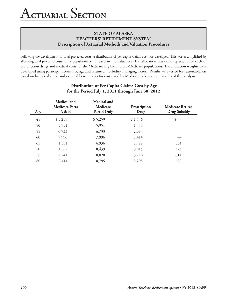Following the development of total projected costs, a distribution of per capita claims cost was developed. This was accomplished by allocating total projected costs to the population census used in the valuation. The allocation was done separately for each of prescription drugs and medical costs for the Medicare eligible and pre-Medicare populations. The allocation weights were developed using participant counts by age and assumed morbidity and aging factors. Results were tested for reasonableness based on historical trend and external benchmarks for costs paid by Medicare.Below are the results of this analysis:

| Age | Medical and<br><b>Medicare Parts</b><br>A & B | Medical and<br>Medicare<br>Part B Only | Prescription<br>Drug | <b>Medicare Retiree</b><br><b>Drug Subsidy</b> |
|-----|-----------------------------------------------|----------------------------------------|----------------------|------------------------------------------------|
| 45  | \$5,259                                       | \$5,259                                | \$1,476              |                                                |
| 50  | 5,951                                         | 5,951                                  | 1,754                |                                                |
| 55  | 6,733                                         | 6,733                                  | 2,083                |                                                |
| 60  | 7,996                                         | 7,996                                  | 2,414                |                                                |
| 65  | 1,551                                         | 6,936                                  | 2,799                | 534                                            |
| 70  | 1,887                                         | 8,439                                  | 3,015                | 575                                            |
| 75  | 2,241                                         | 10,020                                 | 3,216                | 614                                            |
| 80  | 2,414                                         | 10,795                                 | 3,298                | 629                                            |

# **Distribution of Per Capita Claims Cost by Age for the Period July 1, 2011 through June 30, 2012**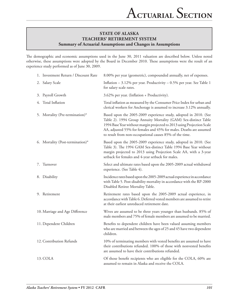The demographic and economic assumptions used in the June 30, 2011 valuation are described below. Unless noted otherwise, these assumptions were adopted by the Board in December 2010. These assumptions were the result of an experience study performed as of June 30, 2009.

| 1. Investment Return / Discount Rate | 8.00% per year (geometric), compounded annually, net of expenses.                                                                                                                                                                                                                                                                              |
|--------------------------------------|------------------------------------------------------------------------------------------------------------------------------------------------------------------------------------------------------------------------------------------------------------------------------------------------------------------------------------------------|
| 2. Salary Scale                      | Inflation $-3.12\%$ per year. Productivity $-0.5\%$ per year. See Table 1<br>for salary scale rates.                                                                                                                                                                                                                                           |
| 3. Payroll Growth                    | 3.62% per year. (Inflation + Productivity).                                                                                                                                                                                                                                                                                                    |
| 4. Total Inflation                   | Total inflation as measured by the Consumer Price Index for urban and<br>clerical workers for Anchorage is assumed to increase 3.12% annually.                                                                                                                                                                                                 |
| 5. Mortality (Pre-termination)*      | Based upon the 2005-2009 experience study, adopted in 2010. (See<br>Table 2). 1994 Group Annuity Mortality (GAM) Sex-distinct Table<br>1994 Base Year without margin projected to 2013 using Projection Scale<br>AA, adjusted 55% for females and 45% for males. Deaths are assumed<br>to result from non-occupational causes 85% of the time. |
| 6. Mortality (Post-termination)*     | Based upon the 2005-2009 experience study, adopted in 2010. (See<br>Table 3). The 1994 GAM Sex-distinct Table 1994 Base Year without<br>margin projected to 2013 using Projection Scale AA, with a 3-year<br>setback for females and 4-year setback for males.                                                                                 |
| 7. Turnover                          | Select and ultimate rates based upon the 2005-2009 actual withdrawal<br>experience. (See Table 4).                                                                                                                                                                                                                                             |
| 8. Disability                        | Incidence rates based upon the 2005-2009 actual experience in accordance<br>with Table 5. Post-disability mortality in accordance with the RP-2000<br>Disabled Retiree Mortality Table.                                                                                                                                                        |
| 9. Retirement                        | Retirement rates based upon the 2005-2009 actual experience, in<br>accordance with Table 6. Deferred vested members are assumed to retire<br>at their earliest unreduced retirement date.                                                                                                                                                      |
| 10. Marriage and Age Difference      | Wives are assumed to be three years younger than husbands. 85% of<br>male members and 75% of female members are assumed to be married.                                                                                                                                                                                                         |
| 11. Dependent Children               | Benefits to dependent children have been valued assuming members<br>who are married and between the ages of 25 and 45 have two dependent<br>children.                                                                                                                                                                                          |
| 12. Contribution Refunds             | 10% of terminating members with vested benefits are assumed to have<br>their contributions refunded. 100% of those with nonvested benefits<br>are assumed to have their contributions refunded.                                                                                                                                                |
| 13. COLA                             | Of those benefit recipients who are eligible for the COLA, 60% are<br>assumed to remain in Alaska and receive the COLA.                                                                                                                                                                                                                        |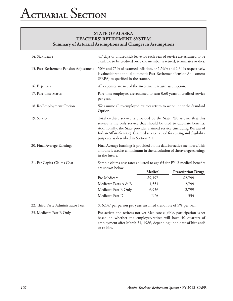| 14. Sick Leave                         | 4.7 days of unused sick leave for each year of service are assumed to be<br>available to be credited once the member is retired, terminates or dies.                                                                                                                                                                                             |                                                                        |                           |  |
|----------------------------------------|--------------------------------------------------------------------------------------------------------------------------------------------------------------------------------------------------------------------------------------------------------------------------------------------------------------------------------------------------|------------------------------------------------------------------------|---------------------------|--|
| 15. Post-Retirement Pension Adjustment | 50% and 75% of assumed inflation, or 1.56% and 2.34% respectively,<br>is valued for the annual automatic Post-Retirement Pension Adjustment<br>(PRPA) as specified in the statute.                                                                                                                                                               |                                                                        |                           |  |
| 16. Expenses                           |                                                                                                                                                                                                                                                                                                                                                  | All expenses are net of the investment return assumption.              |                           |  |
| 17. Part-time Status                   | per year.                                                                                                                                                                                                                                                                                                                                        | Part-time employees are assumed to earn 0.60 years of credited service |                           |  |
| 18. Re-Employment Option               | We assume all re-employed retirees return to work under the Standard<br>Option.                                                                                                                                                                                                                                                                  |                                                                        |                           |  |
| 19. Service                            | Total credited service is provided by the State. We assume that this<br>service is the only service that should be used to calculate benefits.<br>Additionally, the State provides claimed service (including Bureau of<br>Indian Affairs Service). Claimed service is used for vesting and eligibility<br>purposes as described in Section 2.1. |                                                                        |                           |  |
| 20. Final Average Earnings             | Final Average Earnings is provided on the data for active members. This<br>amount is used as a minimum in the calculation of the average earnings<br>in the future.                                                                                                                                                                              |                                                                        |                           |  |
| 21. Per Capita Claims Cost             | Sample claims cost rates adjusted to age 65 for FY12 medical benefits                                                                                                                                                                                                                                                                            |                                                                        |                           |  |
|                                        | are shown below:                                                                                                                                                                                                                                                                                                                                 | Medical                                                                | <b>Prescription Drugs</b> |  |
|                                        | Pre-Medicare                                                                                                                                                                                                                                                                                                                                     | \$9,497                                                                | \$2,799                   |  |
|                                        | Medicare Parts A & B                                                                                                                                                                                                                                                                                                                             | 1,551                                                                  | 2,799                     |  |
|                                        | Medicare Part B Only                                                                                                                                                                                                                                                                                                                             | 6,936                                                                  | 2,799                     |  |
|                                        | Medicare Part D                                                                                                                                                                                                                                                                                                                                  | N/A                                                                    | 534                       |  |
| 22. Third Party Administrator Fees     | \$162.47 per person per year; assumed trend rate of 5% per year.                                                                                                                                                                                                                                                                                 |                                                                        |                           |  |
| 23. Medicare Part B Only               | For actives and retirees not yet Medicare-eligible, participation is set<br>based on whether the employee/retiree will have 40 quarters of<br>employment after March 31, 1986, depending upon date of hire and/<br>or re-hire.                                                                                                                   |                                                                        |                           |  |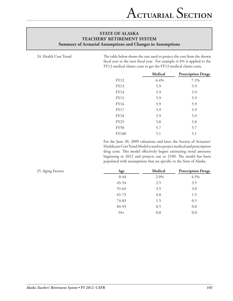24. Health Cost Trend The table below shows the rate used to project the cost from the shown fiscal year to the next fiscal year. For example, 6.4% is applied to the FY12 medical claims costs to get the FY13 medical claims costs.

|              | <b>Medical</b> | <b>Prescription Drugs</b> |
|--------------|----------------|---------------------------|
| <b>FY12</b>  | 6.4%           | 7.1%                      |
| <b>FY13</b>  | 5.9            | 5.9                       |
| <b>FY14</b>  | 5.9            | 5.9                       |
| <b>FY15</b>  | 5.9            | 5.9                       |
| <b>FY16</b>  | 5.9            | 5.9                       |
| <b>FY17</b>  | 5.9            | 5.9                       |
| <b>FY18</b>  | 5.9            | 5.9                       |
| <b>FY25</b>  | 5.8            | 5.8                       |
| <b>FY50</b>  | 5.7            | 5.7                       |
| <b>FY100</b> | 5.1            | 5.1                       |

For the June 30, 2009 valuations and later, the Society of Actuaries' Healthcare Cost Trend Model is used to project medical and prescription drug costs. This model effectively begins estimating trend amounts beginning in 2012 and projects out to 2100. The model has been populated with assumptions that are specific to the State of Alaska.

| 25. Aging Factors | Age       | Medical | <b>Prescription Drugs</b> |
|-------------------|-----------|---------|---------------------------|
|                   | $0 - 44$  | 2.0%    | 4.5%                      |
|                   | 45-54     | 2.5     | 3.5                       |
|                   | 55-64     | 3.5     | 3.0                       |
|                   | $65 - 73$ | 4.0     | 1.5                       |
|                   | 74-83     | 1.5     | 0.5                       |
|                   | 84-93     | 0.5     | 0.0                       |
|                   | $94+$     | 0.0     | 0.0                       |
|                   |           |         |                           |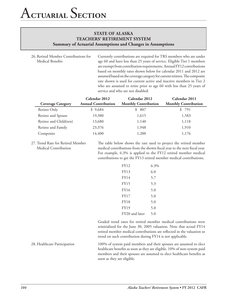26. Retired Member Contributions for Medical Benefits

Currently contributions are required for TRS members who are under age 60 and have less than 25 years of service. Eligible Tier 1 members are exempt from contribution requirements. Annual FY12 contributions based on monthly rates shown below for calendar 2011 and 2012 are assumed based on the coverage category for current retirees. The composite rate shown is used for current active and inactive members in Tier 2 who are assumed to retire prior to age 60 with less than 25 years of service and who are not disabled:

|                          | Calendar 2012              | Calendar 2012               | Calendar 2011               |
|--------------------------|----------------------------|-----------------------------|-----------------------------|
| <b>Coverage Category</b> | <b>Annual Contribution</b> | <b>Monthly Contribution</b> | <b>Monthly Contribution</b> |
| Retiree Only             | \$9,684                    | \$807                       | \$ 791                      |
| Retiree and Spouse       | 19,380                     | 1,615                       | 1,583                       |
| Retiree and Child(ren)   | 13,680                     | 1,140                       | 1,118                       |
| Retiree and Family       | 23,376                     | 1,948                       | 1,910                       |
| Composite                | 14,400                     | 1,200                       | 1,176                       |

27. Trend Rate for Retired Member Medical Contribution

The table below shows the rate used to project the retired member medical contributions from the shown fiscal year to the next fiscal year. For example, 6.3% is applied to the FY12 retired member medical contributions to get the FY13 retired member medical contributions.

| FY12           | $6.3\%$ |
|----------------|---------|
| FY13           | 6.0     |
| FY14           | 5.7     |
| <b>FY15</b>    | 5.3     |
| <b>FY16</b>    | 5.0     |
| FY17           | 5.0     |
| <b>FY18</b>    | 5.0     |
| FY19           | 5.0     |
| FY20 and later | 5.0     |

Graded trend rates for retired member medical contributions were reinitialized for the June 30, 2005 valuation. Note that actual FY14 retired member medical contributions are reflected in the valuation so trend on such contribution during FY14 is not applicable.

28. Healthcare Participation 100% of system paid members and their spouses are assumed to elect healthcare benefits as soon as they are eligible. 10% of non-system paid members and their spouses are assumed to elect healthcare benefits as soon as they are eligible.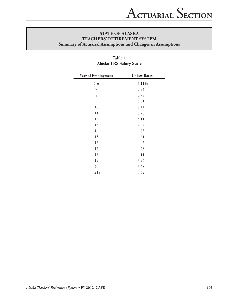| Year of Employment | <b>Unisex Rates</b> |
|--------------------|---------------------|
| $1-6$              | 6.11%               |
| 7                  | 5.94                |
| 8                  | 5.78                |
| 9                  | 5.61                |
| 10                 | 5.44                |
| 11                 | 5.28                |
| 12                 | 5.11                |
| 13                 | 4.94                |
| 14                 | 4.78                |
| 15                 | 4.61                |
| 16                 | 4.45                |
| 17                 | 4.28                |
| 18                 | 4.11                |
| 19                 | 3.95                |
| 20                 | 3.78                |
| $21+$              | 3.62                |

# **Table 1 Alaska TRS Salary Scale**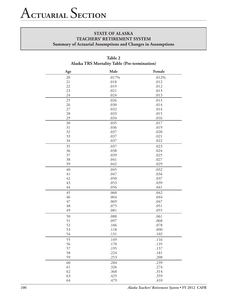| Age | Male         | Female |
|-----|--------------|--------|
| 20  | .017%        | .012%  |
| 21  | .018         | .012   |
| 22  | .019         | .012   |
| 23  | .021         | .013   |
| 24  | .024         | .013   |
| 25  | .026         | .013   |
| 26  | .030         | .014   |
| 27  | .032         | .014   |
| 28  | .033         | .015   |
| 29  | .034         | .016   |
| 30  | .035         | .017   |
| 31  | .036         | .019   |
| 32  | .037         | .020   |
| 33  | .037         | .021   |
| 34  | .037         | .022   |
| 35  | .037         | .023   |
| 36  | .038         | .024   |
| 37  | .039         | .025   |
| 38  | .041         | .027   |
| 39  | .042         | .029   |
| 40  | .045         | .032   |
| 41  | .047         | .034   |
| 42  | .050         | .037   |
| 43  | .053         | .039   |
| 44  | .056         | .041   |
| 45  | .060         | .042   |
| 46  | .064         | .044   |
| 47  | .069         | .047   |
| 48  |              | .051   |
| 49  | .075<br>.081 | .055   |
|     |              |        |
| 50  | .088         | .061   |
| 51  | .097         | .068   |
| 52  | .106         | .078   |
| 53  | .118         | .090   |
| 54  | .131         | .102   |
| 55  | .149         | .116   |
| 56  | .170         | .135   |
| 57  | .195         | .157   |
| 58  | .224         | .181   |
| 59  | .253         | .208   |
| 60  | .284         | .239   |
| 61  | .326         | .274   |
| 62  | .368         | .314   |
| 63  | .425         | .359   |
| 64  | .479         | .410   |

# **Table 2 Alaska TRS Mortality Table (Pre-termination)**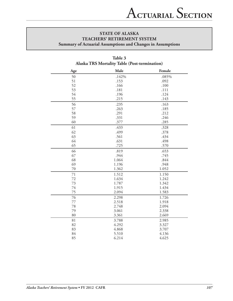| Age | Male  | Female |
|-----|-------|--------|
| 50  | .142% | .085%  |
| 51  | .153  | .092   |
| 52  | .166  | .100   |
| 53  | .181  | .111   |
| 54  | .196  | .124   |
| 55  | .215  | .143   |
| 56  | .235  | .163   |
| 57  | .263  | .185   |
| 58  | .291  | .212   |
| 59  | .331  | .246   |
| 60  | .377  | .285   |
| 61  | .433  | .328   |
| 62  | .499  | .378   |
| 63  | .561  | .434   |
| 64  | .631  | .498   |
| 65  | .725  | .570   |
| 66  | .819  | .653   |
| 67  | .944  | .745   |
| 68  | 1.064 | .844   |
| 69  | 1.196 | .948   |
| 70  | 1.362 | 1.052  |
| 71  | 1.512 | 1.150  |
| 72  | 1.634 | 1.242  |
| 73  | 1.787 | 1.342  |
| 74  | 1.915 | 1.434  |
| 75  | 2.094 | 1.583  |
| 76  | 2.298 | 1.726  |
| 77  | 2.518 | 1.918  |
| 78  | 2.748 | 2.094  |
| 79  | 3.061 | 2.338  |
| 80  | 3.361 | 2.669  |
| 81  | 3.788 | 2.985  |
| 82  | 4.292 | 3.327  |
| 83  | 4.868 | 3.707  |
| 84  | 5.510 | 4.136  |
| 85  | 6.214 | 4.625  |

# **Table 3 Alaska TRS Mortality Table (Post-termination)**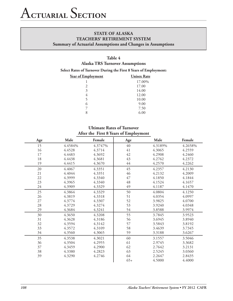# **Table 4 Alaska TRS Turnover Assumptions**

**Select Rates of Turnover During the First 8 Years of Employment:**

| Year of Employment | <b>Unisex Rate</b> |
|--------------------|--------------------|
| 1                  | 17.00%             |
| $\mathfrak{D}$     | 17.00              |
| 3                  | 14.00              |
| 4                  | 12.00              |
| 5                  | 10.00              |
| 6                  | 9.00               |
|                    | 7.50               |
| 8                  | 6.00               |

# **Ultimate Rates of Turnover After the First 8 Years of Employment**

| Age    | Male    | Female  | Age   | Male    | Female  |
|--------|---------|---------|-------|---------|---------|
| 15     | 4.4584% | 4.3747% | 40    | 4.3189% | 4.2658% |
| 16     | 4.4528  | 4.3714  | 41    | 4.3065  | 4.2559  |
| 17     | 4.4483  | 4.3692  | 42    | 4.2908  | 4.2460  |
| 18     | 4.4438  | 4.3681  | 43    | 4.2762  | 4.2372  |
| 19     | 4.4415  | 4.3670  | 44    | 4.2570  | 4.2262  |
| 20     | 4.4067  | 4.3351  | 45    | 4.2357  | 4.2130  |
| 21     | 4.4044  | 4.3351  | 46    | 4.2132  | 4.2009  |
| 22     | 4.3999  | 4.3340  | 47    | 4.1850  | 4.1844  |
| 23     | 4.3965  | 4.3340  | 48    | 4.1524  | 4.1657  |
| 24     | 4.3909  | 4.3329  | 49    | 4.1187  | 4.1470  |
| 25     | 4.3864  | 4.3329  | 50    | 4.0804  | 4.1250  |
| 26     | 4.3819  | 4.3318  | 51    | 4.0354  | 4.0997  |
| $27\,$ | 4.3774  | 4.3307  | 52    | 3.9825  | 4.0700  |
| $28\,$ | 4.3729  | 4.3274  | 53    | 3.9240  | 4.0348  |
| 29     | 4.3684  | 4.3241  | 54    | 3.8588  | 3.9974  |
| 30     | 4.3650  | 4.3208  | 55    | 3.7845  | 3.9523  |
| 31     | 4.3628  | 4.3186  | 56    | 3.6945  | 3.8940  |
| 32     | 4.3594  | 4.3142  | 57    | 3.5843  | 3.8192  |
| 33     | 4.3572  | 4.3109  | 58    | 3.4639  | 3.7345  |
| 34     | 4.3560  | 4.3065  | 59    | 3.3188  | 3.6267  |
| 35     | 4.3538  | 4.3021  | 60    | 3.1557  | 3.5046  |
| 36     | 4.3504  | 4.2955  | 61    | 2.9745  | 3.3682  |
| 37     | 4.3459  | 4.2900  | 62    | 2.7642  | 3.2131  |
| 38     | 4.3380  | 4.2823  | 63    | 2.5245  | 3.0360  |
| 39     | 4.3290  | 4.2746  | 64    | 2.2647  | 2.8435  |
|        |         |         | $65+$ | 4.5000  | 4.4000  |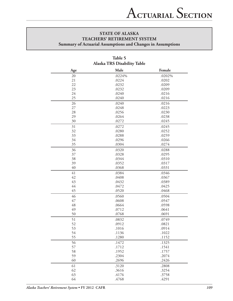| Age | Male   | Female |
|-----|--------|--------|
| 20  | .0224% | .0202% |
| 21  | .0224  | .0202  |
| 22  | .0232  | .0209  |
| 23  | .0232  | .0209  |
| 24  | .0240  | .0216  |
| 25  | .0240  | .0216  |
| 26  | .0240  | .0216  |
| 27  | .0248  | .0223  |
| 28  | .0256  | .0230  |
| 29  | .0264  | .0238  |
| 30  | .0272  | .0245  |
| 31  | .0272  | .0245  |
| 32  | .0280  | .0252  |
| 33  | .0288  | .0259  |
| 34  | .0296  | .0266  |
| 35  | .0304  | .0274  |
| 36  | .0320  | .0288  |
| 37  | .0328  | .0295  |
| 38  | .0344  | .0310  |
| 39  | .0352  | .0317  |
| 40  | .0368  | .0331  |
| 41  | .0384  | .0346  |
| 42  | .0408  | .0367  |
| 43  | .0432  | .0389  |
| 44  | .0472  | .0425  |
| 45  | .0520  | .0468  |
| 46  | .0560  | .0504  |
| 47  | .0608  | .0547  |
| 48  | .0664  | .0598  |
| 49  | .0712  | .0641  |
| 50  | .0768  | .0691  |
| 51  | .0832  | .0749  |
| 52  | .0912  | .0821  |
| 53  | .1016  | .0914  |
| 54  | .1136  | .1022  |
| 55  | .1280  | .1152  |
| 56  | .1472  | .1325  |
| 57  | .1712  | .1541  |
| 58  | .1952  | .1757  |
| 59  | .2304  | .2074  |
| 60  | .2696  | .2426  |
| 61  | .3120  | .2808  |
| 62  | .3616  | .3254  |
| 63  | .4176  | .3758  |
| 64  | .4768  | .4291  |

# **Table 5 Alaska TRS Disability Table**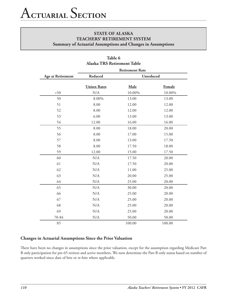|                          |                             | <b>Retirement Rate</b> |        |  |  |  |
|--------------------------|-----------------------------|------------------------|--------|--|--|--|
| <b>Age at Retirement</b> | Reduced<br><b>Unreduced</b> |                        |        |  |  |  |
|                          | <b>Unisex Rates</b>         | Male                   | Female |  |  |  |
| < 50                     | $\rm N/A$                   | 10.00%                 | 10.00% |  |  |  |
| 50                       | 8.00%                       | 13.00                  | 13.00  |  |  |  |
| 51                       | 8.00                        | 12.00                  | 12.00  |  |  |  |
| 52                       | 8.00                        | 12.00                  | 12.00  |  |  |  |
| 53                       | 6.00                        | 13.00                  | 13.00  |  |  |  |
| 54                       | 12.00                       | 16.00                  | 16.00  |  |  |  |
| 55                       | 8.00                        | 18.00                  | 20.00  |  |  |  |
| 56                       | 8.00                        | 17.00                  | 15.00  |  |  |  |
| 57                       | 8.00                        | 13.00                  | 17.50  |  |  |  |
| 58                       | 8.00                        | 17.50                  | 18.00  |  |  |  |
| 59                       | 12.00                       | 15.00                  | 17.50  |  |  |  |
| 60                       | N/A                         | 17.50                  | 20.00  |  |  |  |
| 61                       | N/A                         | 17.50                  | 20.00  |  |  |  |
| 62                       | N/A                         | 11.00                  | 25.00  |  |  |  |
| 63                       | N/A                         | 20.00                  | 25.00  |  |  |  |
| 64                       | N/A                         | 25.00                  | 20.00  |  |  |  |
| 65                       | N/A                         | 30.00                  | 20.00  |  |  |  |
| 66                       | N/A                         | 25.00                  | 20.00  |  |  |  |
| 67                       | N/A                         | 25.00                  | 20.00  |  |  |  |
| 68                       | N/A                         | 25.00                  | 20.00  |  |  |  |
| 69                       | N/A                         | 25.00                  | 20.00  |  |  |  |
| 70-84                    | $\rm N/A$                   | 50.00                  | 50.00  |  |  |  |
| 85                       |                             | 100.00                 | 100.00 |  |  |  |

# **Table 6 Alaska TRS Retirement Table**

# **Changes in Actuarial Assumptions Since the Prior Valuation**

There have been no changes in assumptions since the prior valuation, except for the assumption regarding Medicare Part B only participation for pre-65 retirees and active members. We now determine the Part B only status based on number of quarters worked since date of hire or re-hire where applicable.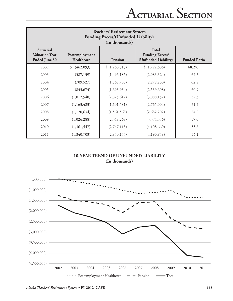| <b>Teachers' Retirement System</b><br><b>Funding Excess/(Unfunded Liability)</b><br>(In thousands) |                              |                |                                                                |                     |  |  |  |  |  |
|----------------------------------------------------------------------------------------------------|------------------------------|----------------|----------------------------------------------------------------|---------------------|--|--|--|--|--|
| Actuarial<br><b>Valuation Year</b><br><b>Ended June 30</b>                                         | Postemployment<br>Healthcare | <b>Pension</b> | <b>Total</b><br><b>Funding Excess/</b><br>(Unfunded Liability) | <b>Funded Ratio</b> |  |  |  |  |  |
| 2002                                                                                               | \$<br>(462,093)              | \$(1,260,513)  | \$(1,722,606)                                                  | 68.2%               |  |  |  |  |  |
| 2003                                                                                               | (587, 139)                   | (1, 496, 185)  | (2,083,324)                                                    | 64.3                |  |  |  |  |  |
| 2004                                                                                               | (709, 527)                   | (1,568,703)    | (2,278,230)                                                    | 62.8                |  |  |  |  |  |
| 2005                                                                                               | (845, 674)                   | (1,693,934)    | (2,539,608)                                                    | 60.9                |  |  |  |  |  |
| 2006                                                                                               | (1,012,540)                  | (2,075,617)    | (3,088,157)                                                    | 57.3                |  |  |  |  |  |
| 2007                                                                                               | (1,163,423)                  | (1,601,581)    | (2,765,004)                                                    | 61.5                |  |  |  |  |  |
| 2008                                                                                               | (1,120,634)                  | (1,561,568)    | (2,682,202)                                                    | 64.8                |  |  |  |  |  |
| 2009                                                                                               | (1,026,288)                  | (2,348,268)    | (3,374,556)                                                    | 57.0                |  |  |  |  |  |
| 2010                                                                                               | (1,361,547)                  | (2,747,113)    | (4,108,660)                                                    | 53.6                |  |  |  |  |  |
| 2011                                                                                               | (1,340,703)                  | (2,850,155)    | (4,190,858)                                                    | 54.1                |  |  |  |  |  |

# **10-YEAR TREND OF UNFUNDED LIABILITY (In thousands)**

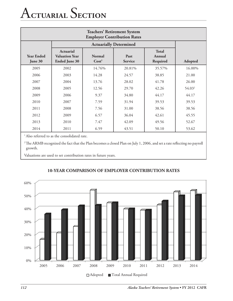# A**ctuarial** S**ection**

| <b>Teachers' Retirement System</b><br><b>Employer Contribution Rates</b> |                                                                   |                                    |                        |                                    |                    |  |  |  |  |
|--------------------------------------------------------------------------|-------------------------------------------------------------------|------------------------------------|------------------------|------------------------------------|--------------------|--|--|--|--|
|                                                                          |                                                                   | <b>Actuarially Determined</b>      |                        |                                    |                    |  |  |  |  |
| <b>Year Ended</b><br>June 30                                             | <b>Actuarial</b><br><b>Valuation Year</b><br><b>Ended June 30</b> | <b>Normal</b><br>Cost <sup>1</sup> | Past<br><b>Service</b> | <b>Total</b><br>Annual<br>Required | Adopted            |  |  |  |  |
| 2005                                                                     | 2002                                                              | 14.76%                             | 20.81%                 | 35.57%                             | 16.00%             |  |  |  |  |
| 2006                                                                     | 2003                                                              | 14.28                              | 24.57                  | 38.85                              | 21.00              |  |  |  |  |
| 2007                                                                     | 2004                                                              | 13.76                              | 28.02                  | 41.78                              | 26.00              |  |  |  |  |
| 2008                                                                     | 2005                                                              | 12.56                              | 29.70                  | 42.26                              | 54.03 <sup>2</sup> |  |  |  |  |
| 2009                                                                     | 2006                                                              | 9.37                               | 34.80                  | 44.17                              | 44.17              |  |  |  |  |
| 2010                                                                     | 2007                                                              | 7.59                               | 31.94                  | 39.53                              | 39.53              |  |  |  |  |
| 2011                                                                     | 2008                                                              | 7.56                               | 31.00                  | 38.56                              | 38.56              |  |  |  |  |
| 2012                                                                     | 2009                                                              | 6.57                               | 36.04                  | 42.61                              | 45.55              |  |  |  |  |
| 2013                                                                     | 2010                                                              | 7.47                               | 42.09                  | 49.56                              | 52.67              |  |  |  |  |
| 2014                                                                     | 2011                                                              | 6.59                               | 43.51                  | 50.10                              | 53.62              |  |  |  |  |

<sup>1</sup> Also referred to as the consolidated rate.

<sup>2</sup>The ARMB recognized the fact that the Plan becomes a closed Plan on July 1, 2006, and set a rate reflecting no payroll growth.

Valuations are used to set contribution rates in future years.



# **10-YEAR COMPARISON OF EMPLOYER CONTRIBUTION RATES**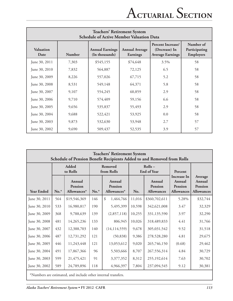| <b>Teachers' Retirement System</b><br><b>Schedule of Active Member Valuation Data</b> |               |                                          |                                   |                                                                      |                                                |  |  |  |  |
|---------------------------------------------------------------------------------------|---------------|------------------------------------------|-----------------------------------|----------------------------------------------------------------------|------------------------------------------------|--|--|--|--|
| <b>Valuation</b><br>Date                                                              | <b>Number</b> | <b>Annual Earnings</b><br>(In thousands) | <b>Annual Average</b><br>Earnings | <b>Percent Increase/</b><br>(Decrease) In<br><b>Average Earnings</b> | Number of<br>Participating<br><b>Employers</b> |  |  |  |  |
| June 30, 2011                                                                         | 7,303         | \$545,155                                | \$74,648                          | 3.5%                                                                 | 58                                             |  |  |  |  |
| June 30, 2010                                                                         | 7,832         | 564,887                                  | 72,125                            | 6.5                                                                  | 58                                             |  |  |  |  |
| June 30, 2009                                                                         | 8,226         | 557,026                                  | 67,715                            | 5.2                                                                  | 58                                             |  |  |  |  |
| June 30, 2008                                                                         | 8,531         | 549,148                                  | 64,371                            | 5.8                                                                  | 58                                             |  |  |  |  |
| June 30, 2007                                                                         | 9,107         | 554,245                                  | 60,859                            | 2.9                                                                  | 58                                             |  |  |  |  |
| June 30, 2006                                                                         | 9,710         | 574,409                                  | 59,156                            | 6.6                                                                  | 58                                             |  |  |  |  |
| June 30, 2005                                                                         | 9,656         | 535,837                                  | 55,493                            | 2.9                                                                  | 58                                             |  |  |  |  |
| June 30, 2004                                                                         | 9,688         | 522,421                                  | 53,925                            | 0.0                                                                  | 58                                             |  |  |  |  |
| June 30, 2003                                                                         | 9,873         | 532,630                                  | 53,948                            | 2.7                                                                  | 57                                             |  |  |  |  |
| June 30, 2002                                                                         | 9,690         | 509,437                                  | 52,535                            | 3.9                                                                  | 57                                             |  |  |  |  |

| <b>Teachers' Retirement System</b><br>Schedule of Pension Benefit Recipients Added to and Removed from Rolls |        |                                  |                       |                                         |        |                                        |                                                       |                                                   |  |
|--------------------------------------------------------------------------------------------------------------|--------|----------------------------------|-----------------------|-----------------------------------------|--------|----------------------------------------|-------------------------------------------------------|---------------------------------------------------|--|
|                                                                                                              |        | Added<br>to Rolls                | Removed<br>from Rolls |                                         |        | Rolls-<br><b>End of Year</b>           | Percent                                               |                                                   |  |
| <b>Year Ended</b>                                                                                            | $No.*$ | Annual<br>Pension<br>Allowances* | $No.*$                | Annual<br>Pension<br>Allowances*        | No.    | Annual<br>Pension<br><b>Allowances</b> | Increase In<br>Annual<br>Pension<br><b>Allowances</b> | Average<br>Annual<br>Pension<br><b>Allowances</b> |  |
| June 30, 2011                                                                                                | 564    | \$19,546,369                     | 146                   | $\boldsymbol{\mathcal{S}}$<br>1,464,766 | 11,016 | \$360,702,611                          | 5.28%                                                 | \$32,744                                          |  |
| June 30, 2010                                                                                                | 533    | 16,980,817                       | 190                   | 5,495,399                               | 10,598 | 342,621,008                            | 3.47                                                  | 32,329                                            |  |
| June 30, 2009                                                                                                | 368    | 9,788,639                        | 139                   | (2,857,118)                             | 10,255 | 331,135,590                            | 3.97                                                  | 32,290                                            |  |
| June 30, 2008                                                                                                | 481    | 14,265,236                       | 133                   | 806,945                                 | 10,026 | 318,489,833                            | 4.41                                                  | 31,766                                            |  |
| June 30, 2007                                                                                                | 432    | 12,388,703                       | 140                   | (14, 114, 559)                          | 9,678  | 305,031,542                            | 9.52                                                  | 31,518                                            |  |
| June 30, 2006                                                                                                | 487    | 12,731,292                       | 121                   | (50, 838)                               | 9,386  | 278,528,280                            | 4.81                                                  | 29,675                                            |  |
| June 30, 2005                                                                                                | 446    | 11,243,448                       | 121                   | 13,053,612                              | 9,020  | 265,746,150                            | (0.68)                                                | 29,462                                            |  |
| June 30, 2004                                                                                                | 491    | 17,867,366                       | 96                    | 5,503,666                               | 8,707  | 267,556,314                            | 4.84                                                  | 30,729                                            |  |
| June 30, 2003                                                                                                | 599    | 21,475,421                       | 91                    | 3,377,352                               | 8,312  | 255,192,614                            | 7.63                                                  | 30,702                                            |  |
| June 30, 2002                                                                                                | 589    | 24,789,896                       | 118                   | 4,966,397                               | 7,804  | 237,094,545                            | 9.12                                                  | 30,381                                            |  |

\*Numbers are estimated, and include other internal transfers.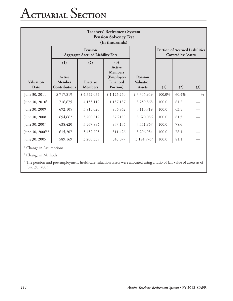# A**ctuarial** S**ection**

| <b>Teachers' Retirement System</b><br><b>Pension Solvency Test</b><br>(In thousands) |                                          |                                                           |                                                                       |                                                     |        |                                                                    |       |  |  |
|--------------------------------------------------------------------------------------|------------------------------------------|-----------------------------------------------------------|-----------------------------------------------------------------------|-----------------------------------------------------|--------|--------------------------------------------------------------------|-------|--|--|
|                                                                                      |                                          | <b>Pension</b><br><b>Aggregate Accrued Liability For:</b> |                                                                       |                                                     |        | <b>Portion of Accrued Liabilities</b><br><b>Covered by Assets:</b> |       |  |  |
| <b>Valuation</b><br>Date                                                             | (1)<br>Active<br>Member<br>Contributions | (2)<br><b>Inactive</b><br><b>Members</b>                  | (3)<br>Active<br><b>Members</b><br>(Employer-<br>Financed<br>Portion) | <b>Pension</b><br><b>Valuation</b><br><b>Assets</b> | (1)    | (2)                                                                | (3)   |  |  |
| June 30, 2011                                                                        | \$717,819                                | \$4,352,035                                               | \$1,126,250                                                           | \$3,345,949                                         | 100.0% | 60.4%                                                              | $-$ % |  |  |
| June $30, 20101$                                                                     | 716,675                                  | 4,153,119                                                 | 1,137,187                                                             | 3,259,868                                           | 100.0  | 61.2                                                               |       |  |  |
| June 30, 2009                                                                        | 692,105                                  | 3,815,020                                                 | 956,862                                                               | 3,115,719                                           | 100.0  | 63.5                                                               |       |  |  |
| June 30, 2008                                                                        | 654,662                                  | 3,700,812                                                 | 876,180                                                               | 3,670,086                                           | 100.0  | 81.5                                                               |       |  |  |
| June 30, 2007                                                                        | 638,420                                  | 3,567,894                                                 | 837,134                                                               | 3,441,867                                           | 100.0  | 78.6                                                               |       |  |  |
| June 30, 2006 <sup>12</sup>                                                          | 615,207                                  | 3,432,703                                                 | 811,426                                                               | 3,296,934                                           | 100.0  | 78.1                                                               |       |  |  |
| June 30, 2005                                                                        | 589,169                                  | 3,200,339                                                 | 545,077                                                               | 3,184,976 <sup>3</sup>                              | 100.0  | 81.1                                                               |       |  |  |

<sup>1</sup> Change in Assumptions

2 Change in Methods

 $3$  The pension and postemployment healthcare valuation assets were allocated using a ratio of fair value of assets as of June 30, 2005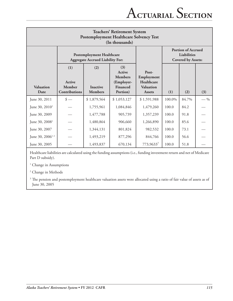| <b>Teachers' Retirement System</b><br><b>Postemployment Healthcare Solvency Test</b><br>(In thousands) |                                                 |                                                                             |                                                                       |                                                                        |        |                                                                       |       |  |  |
|--------------------------------------------------------------------------------------------------------|-------------------------------------------------|-----------------------------------------------------------------------------|-----------------------------------------------------------------------|------------------------------------------------------------------------|--------|-----------------------------------------------------------------------|-------|--|--|
|                                                                                                        |                                                 | <b>Postemployment Healthcare</b><br><b>Aggregate Accrued Liability For:</b> |                                                                       |                                                                        |        | <b>Portion of Accrued</b><br>Liabilities<br><b>Covered by Assets:</b> |       |  |  |
| <b>Valuation</b><br>Date                                                                               | (1)<br><b>Active</b><br>Member<br>Contributions | (2)<br><b>Inactive</b><br><b>Members</b>                                    | (3)<br>Active<br><b>Members</b><br>(Employer-<br>Financed<br>Portion) | Post-<br>Employment<br>Healthcare<br><b>Valuation</b><br><b>Assets</b> | (1)    | (2)                                                                   | (3)   |  |  |
| June 30, 2011                                                                                          | $\frac{\text{I}}{\text{I}}$                     | \$1,879,564                                                                 | \$1,053,127                                                           | \$1,591,988                                                            | 100.0% | 84.7%                                                                 | $-$ % |  |  |
| June 30, 2010 <sup>1</sup>                                                                             |                                                 | 1,755,961                                                                   | 1,084,846                                                             | 1,479,260                                                              | 100.0  | 84.2                                                                  |       |  |  |
| June 30, 2009                                                                                          |                                                 | 1,477,788                                                                   | 905,739                                                               | 1,357,239                                                              | 100.0  | 91.8                                                                  |       |  |  |
| June 30, 2008 <sup>1</sup>                                                                             |                                                 | 1,480,864                                                                   | 906,660                                                               | 1,266,890                                                              | 100.0  | 85.6                                                                  |       |  |  |
| June 30, 2007                                                                                          |                                                 | 1,344,131                                                                   | 801,824                                                               | 982,532                                                                | 100.0  | 73.1                                                                  |       |  |  |
| June 30, $2006^{12}$                                                                                   |                                                 | 1,493,219                                                                   | 877,296                                                               | 844,766                                                                | 100.0  | 56.6                                                                  |       |  |  |
| June 30, 2005                                                                                          |                                                 | 1,493,837                                                                   | 670,134                                                               | $773,9633^3$                                                           | 100.0  | 51.8                                                                  |       |  |  |

Healthcare liabilities are calculated using the funding assumptions (i.e., funding investment return and net of Medicare Part D subsidy).

<sup>1</sup> Change in Assumptions

2 Change in Methods

 $3$  The pension and postemployment healthcare valuation assets were allocated using a ratio of fair value of assets as of June 30, 2005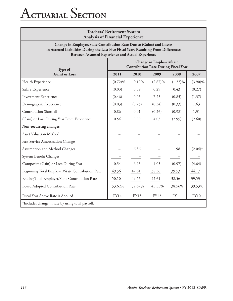# A**ctuarial** S**ection**

| <b>Teachers' Retirement System</b><br><b>Analysis of Financial Experience</b>                                                                                                                                          |            |        |             |             |             |  |  |
|------------------------------------------------------------------------------------------------------------------------------------------------------------------------------------------------------------------------|------------|--------|-------------|-------------|-------------|--|--|
| Change in Employer/State Contribution Rate Due to (Gains) and Losses<br>in Accrued Liabilities During the Last Five Fiscal Years Resulting From Differences<br><b>Between Assumed Experience and Actual Experience</b> |            |        |             |             |             |  |  |
| <b>Change in Employer/State</b><br><b>Contribution Rate During Fiscal Year</b><br>Type of                                                                                                                              |            |        |             |             |             |  |  |
| (Gain) or Loss                                                                                                                                                                                                         | 2011       | 2010   | 2009        | 2008        | 2007        |  |  |
| Health Experience                                                                                                                                                                                                      | $(0.72)\%$ | 0.19%  | $(2.67)\%$  | $(1.22)\%$  | $(3.90)\%$  |  |  |
| Salary Experience                                                                                                                                                                                                      | (0.03)     | 0.59   | 0.29        | 0.43        | (0.27)      |  |  |
| <b>Investment Experience</b>                                                                                                                                                                                           | (0.46)     | 0.05   | 7.23        | (0.85)      | (1.37)      |  |  |
| Demographic Experience                                                                                                                                                                                                 | (0.03)     | (0.75) | (0.54)      | (0.33)      | 1.63        |  |  |
| Contribution Shortfall                                                                                                                                                                                                 | 0.86       | 0.01   | (0.26)      | (0.98)      | 1.31        |  |  |
| (Gain) or Loss During Year From Experience                                                                                                                                                                             | 0.54       | 0.09   | 4.05        | (2.95)      | (2.60)      |  |  |
| Non-recurring changes                                                                                                                                                                                                  |            |        |             |             |             |  |  |
| <b>Asset Valuation Method</b>                                                                                                                                                                                          |            |        |             |             |             |  |  |
| Past Service Amortization Change                                                                                                                                                                                       |            |        |             |             |             |  |  |
| Assumption and Method Changes                                                                                                                                                                                          |            | 6.86   |             | 1.98        | $(2.04)^*$  |  |  |
| System Benefit Changes                                                                                                                                                                                                 |            |        |             |             |             |  |  |
| Composite (Gain) or Loss During Year                                                                                                                                                                                   | 0.54       | 6.95   | 4.05        | (0.97)      | (4.64)      |  |  |
| Beginning Total Employer/State Contribution Rate                                                                                                                                                                       | 49.56      | 42.61  | 38.56       | 39.53       | 44.17       |  |  |
| Ending Total Employer/State Contribution Rate                                                                                                                                                                          | 50.10      | 49.56  | 42.61       | 38.56       | 39.53       |  |  |
| Board Adopted Contribution Rate                                                                                                                                                                                        | 53.62%     | 52.67% | 45.55%      | 38.56%      | 39.53%      |  |  |
| Fiscal Year Above Rate is Applied                                                                                                                                                                                      | FY14       | FY13   | <b>FY12</b> | <b>FY11</b> | <b>FY10</b> |  |  |
| *Includes change in rate by using total payroll.                                                                                                                                                                       |            |        |             |             |             |  |  |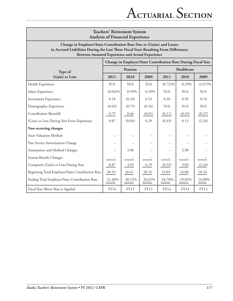| <b>Teachers' Retirement System</b><br><b>Analysis of Financial Experience</b>                                                                                                                                    |            |         |             |                                                               |            |             |  |  |
|------------------------------------------------------------------------------------------------------------------------------------------------------------------------------------------------------------------|------------|---------|-------------|---------------------------------------------------------------|------------|-------------|--|--|
| Change in Employer/State Contribution Rate Due to (Gains) and Losses<br>in Accrued Liabilities During the Last Three Fiscal Years Resulting From Differences<br>Between Assumed Experience and Actual Experience |            |         |             |                                                               |            |             |  |  |
|                                                                                                                                                                                                                  |            |         |             | Change in Employer/State Contribution Rate During Fiscal Year |            |             |  |  |
| Type of                                                                                                                                                                                                          |            | Pension |             |                                                               | Healthcare |             |  |  |
| (Gain) or Loss                                                                                                                                                                                                   | 2011       | 2010    | 2009        | 2011                                                          | 2010       | 2009        |  |  |
| Health Experience                                                                                                                                                                                                | N/A        | N/A     | N/A         | $(0.72)\%$                                                    | 0.19%      | $(2.67)\%$  |  |  |
| Salary Experience                                                                                                                                                                                                | $(0.03)\%$ | 0.59%   | 0.29%       | N/A                                                           | N/A        | N/A         |  |  |
| <b>Investment Experience</b>                                                                                                                                                                                     | 0.18       | (0.34)  | 6.53        | 0.28                                                          | 0.39       | 0.70        |  |  |
| Demographic Experience                                                                                                                                                                                           | (0.03)     | (0.75)  | (0.54)      | N/A                                                           | N/A        | N/A         |  |  |
| Contribution Shortfall                                                                                                                                                                                           | 0.75       | 0.46    | (0.01)      | (0.11)                                                        | (0.45)     | (0.27)      |  |  |
| (Gain) or Loss During Year From Experience                                                                                                                                                                       | 0.87       | (0.04)  | 6.29        | (0.33)                                                        | 0.13       | (2.24)      |  |  |
| Non-recurring changes                                                                                                                                                                                            |            |         |             |                                                               |            |             |  |  |
| <b>Asset Valuation Method</b>                                                                                                                                                                                    |            |         |             |                                                               |            |             |  |  |
| Past Service Amortization Change                                                                                                                                                                                 |            |         |             |                                                               |            |             |  |  |
| Assumption and Method Changes                                                                                                                                                                                    |            | 3.96    |             |                                                               | 2.90       |             |  |  |
| System Benefit Changes                                                                                                                                                                                           |            |         |             |                                                               |            |             |  |  |
| Composite (Gain) or Loss During Year                                                                                                                                                                             | 0.87       | 3.92    | 6.29        | (0.33)                                                        | 3.03       | (2.24)      |  |  |
| Beginning Total Employer/State Contribution Rate                                                                                                                                                                 | 30.53      | 26.61   | 20.32       | 19.03                                                         | 16.00      | 18.24       |  |  |
| Ending Total Employer/State Contribution Rate                                                                                                                                                                    | 31.40%     | 30.53%  | 26.61%      | 18.70%                                                        | 19.03%     | 16.00%      |  |  |
| Fiscal Year Above Rate is Applied                                                                                                                                                                                | FY14       | FY13    | <b>FY12</b> | FY14                                                          | FY13       | <b>FY12</b> |  |  |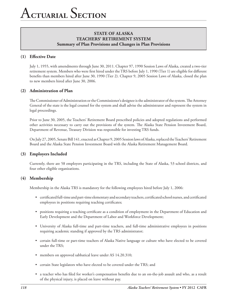# **(1) Effective Date**

July 1, 1955, with amendments through June 30, 2011. Chapter 97, 1990 Session Laws of Alaska, created a two-tier retirement system. Members who were first hired under the TRS before July 1, 1990 (Tier 1) are eligible for different benefits than members hired after June 30, 1990 (Tier 2). Chapter 9, 2005 Session Laws of Alaska, closed the plan to new members hired after June 30, 2006.

## **(2) Administration of Plan**

The Commissioner of Administration or the Commissioner's designee is the administrator of the system. The Attorney General of the state is the legal counsel for the system and shall advise the administrator and represent the system in legal proceedings.

Prior to June 30, 2005, the Teachers' Retirement Board prescribed policies and adopted regulations and performed other activities necessary to carry out the provisions of the system. The Alaska State Pension Investment Board, Department of Revenue, Treasury Division was responsible for investing TRS funds.

On July 27, 2005, Senate Bill 141, enacted as Chapter 9, 2005 Session laws of Alaska, replaced the Teachers' Retirement Board and the Alaska State Pension Investment Board with the Alaska Retirement Management Board.

## **(3) Employers Included**

Currently, there are 58 employers participating in the TRS, including the State of Alaska, 53 school districts, and four other eligible organizations.

## **(4) Membership**

Membership in the Alaska TRS is mandatory for the following employees hired before July 1, 2006:

- • certificated full-time and part-time elementary and secondary teachers, certificated school nurses, and certificated employees in positions requiring teaching certificates;
- • positions requiring a teaching certificate as a condition of employment in the Department of Education and Early Development and the Department of Labor and Workforce Development;
- • University of Alaska full-time and part-time teachers, and full-time administrative employees in positions requiring academic standing if approved by the TRS administrator;
- • certain full-time or part-time teachers of Alaska Native language or culture who have elected to be covered under the TRS;
- members on approved sabbatical leave under AS 14.20.310;
- certain State legislators who have elected to be covered under the TRS; and
- • a teacher who has filed for worker's compensation benefits due to an on-the-job assault and who, as a result of the physical injury, is placed on leave without pay.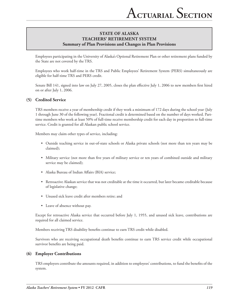Employees participating in the University of Alaska's Optional Retirement Plan or other retirement plans funded by the State are not covered by the TRS.

Employees who work half-time in the TRS and Public Employees' Retirement System (PERS) simultaneously are eligible for half-time TRS and PERS credit.

Senate Bill 141, signed into law on July 27, 2005, closes the plan effective July 1, 2006 to new members first hired on or after July 1, 2006.

#### **(5) Credited Service**

TRS members receive a year of membership credit if they work a minimum of 172 days during the school year (July 1 through June 30 of the following year). Fractional credit is determined based on the number of days worked. Parttime members who work at least 50% of full-time receive membership credit for each day in proportion to full-time service. Credit is granted for all Alaskan public school service.

Members may claim other types of service, including:

- • Outside teaching service in out-of-state schools or Alaska private schools (not more than ten years may be claimed);
- • Military service (not more than five years of military service or ten years of combined outside and military service may be claimed);
- Alaska Bureau of Indian Affairs (BIA) service;
- • Retroactive Alaskan service that was not creditable at the time it occurred, but later became creditable because of legislative change;
- • Unused sick leave credit after members retire; and
- Leave of absence without pay.

Except for retroactive Alaska service that occurred before July 1, 1955, and unused sick leave, contributions are required for all claimed service.

Members receiving TRS disability benefits continue to earn TRS credit while disabled.

Survivors who are receiving occupational death benefits continue to earn TRS service credit while occupational survivor benefits are being paid.

## **(6) Employer Contributions**

TRS employers contribute the amounts required, in addition to employees' contributions, to fund the benefits of the system.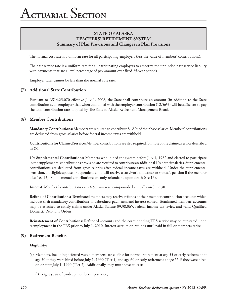The normal cost rate is a uniform rate for all participating employers (less the value of members' contributions).

The past service rate is a uniform rate for all participating employers to amortize the unfunded past service liability with payments that are a level percentage of pay amount over fixed 25-year periods.

Employer rates cannot be less than the normal cost rate.

#### **(7) Additional State Contribution**

Pursuant to AS14.25.070 effective July 1, 2008, the State shall contribute an amount (in addition to the State contribution as an employer) that when combined with the employer contribution (12.56%) will be sufficient to pay the total contribution rate adopted by The State of Alaska Retirement Management Board.

#### **(8) Member Contributions**

**Mandatory Contributions:** Members are required to contribute 8.65% of their base salaries. Members' contributions are deducted from gross salaries before federal income taxes are withheld.

**Contributions for Claimed Service:** Member contributions are also required for most of the claimed service described in (5).

**1% Supplemental Contributions:** Members who joined the system before July 1, 1982 and elected to participate in the supplemental contributions provision are required to contribute an additional 1% of their salaries. Supplemental contributions are deducted from gross salaries after federal income taxes are withheld. Under the supplemental provision, an eligible spouse or dependent child will receive a survivor's allowance or spouse's pension if the member dies (see 13). Supplemental contributions are only refundable upon death (see 13).

**Interest:** Members' contributions earn 4.5% interest, compounded annually on June 30.

**Refund of Contributions:** Terminated members may receive refunds of their member contribution accounts which includes their mandatory contributions, indebtedness payments, and interest earned. Terminated members' accounts may be attached to satisfy claims under Alaska Statute 09.38.065, federal income tax levies, and valid Qualified Domestic Relations Orders.

**Reinstatement of Contributions:** Refunded accounts and the corresponding TRS service may be reinstated upon reemployment in the TRS prior to July 1, 2010. Interest accrues on refunds until paid in full or members retire.

#### **(9) Retirement Benefits**

#### **Eligibility:**

- (a) Members, including deferred vested members, are eligible for normal retirement at age 55 or early retirement at age 50 if they were hired before July 1, 1990 (Tier 1) and age 60 or early retirement at age 55 if they were hired on or after July 1, 1990 (Tier 2). Additionally, they must have at least:
	- (i) eight years of paid-up membership service;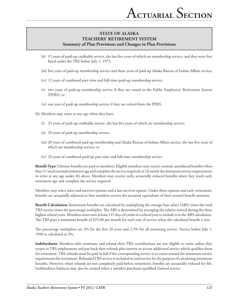- (ii) 15 years of paid-up creditable service, the last five years of which are membership service, and they were first hired under the TRS before July 1, 1975;
- (iii) five years of paid-up membership service and three years of paid-up Alaska Bureau of Indian Affairs service;
- (iv) 12 years of combined part-time and full-time paid-up membership service;
- (v) two years of paid-up membership service if they are vested in the Public Employees' Retirement System (PERS); or
- (vi) one year of paid-up membership service if they are retired from the PERS.
- (b) Members may retire at any age when they have:
	- (i) 25 years of paid-up creditable service, the last five years of which are membership service;
	- (ii) 20 years of paid-up membership service;
	- (iii) 20 years of combined paid-up membership and Alaska Bureau of Indian Affairs service, the last five years of which are membership service; or
	- (iv) 20 years of combined paid-up part-time and full-time membership service.

**Benefit Type:** Lifetime benefits are paid to members. Eligible members may receive normal, unreduced benefits when they (1) reach normal retirement age and complete the service required; or (2) satisfy the minimum service requirements to retire at any age under (b) above. Members may receive early, actuarially reduced benefits when they reach early retirement age and complete the service required.

Members may select joint and survivor options and a last survivor option. Under those options and early retirement, benefits are actuarially adjusted so that members receive the actuarial equivalents of their normal benefit amounts.

**Benefit Calculation:** Retirement benefits are calculated by multiplying the average base salary (ABS) times the total TRS service times the percentage multiplier. The ABS is determined by averaging the salaries earned during the three highest school years. Members must earn at least 115 days of credit in a school year to include it in the ABS calculation. The TRS pays a minimum benefit of \$25.00 per month for each year of service when the calculated benefit is less.

The percentage multipliers are 2% for the first 20 years and 2.5% for all remaining service. Service before July 1, 1990 is calculated at 2%.

**Indebtedness:** Members who terminate and refund their TRS contributions are not eligible to retire unless they return to TRS employment and pay back their refunds plus interest or accrue additional service which qualifies them for retirement. TRS refunds must be paid in full if the corresponding service is to count toward the minimum service requirements for retirement. Refunded TRS service is included in total service for the purpose of calculating retirement benefits. However, when refunds are not completely paid before retirement, benefits are actuarially reduced for life. Indebtedness balances may also be created when a member purchases qualified claimed service.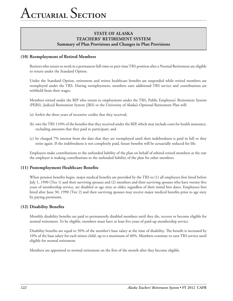## **(10) Reemployment of Retired Members**

Retirees who return to work in a permanent full-time or part-time TRS position after a Normal Retirement are eligible to return under the Standard Option.

Under the Standard Option, retirement and retiree healthcare benefits are suspended while retired members are reemployed under the TRS. During reemployment, members earn additional TRS service and contributions are withheld from their wages.

Members retired under the RIP who return to employment under the TRS, Public Employees' Retirement System (PERS), Judicial Retirement System (JRS) or the University of Alaska's Optional Retirement Plan will:

- (a) forfeit the three years of incentive credits that they received;
- (b) owe the TRS 110% of the benefits that they received under the RIP, which may include costs for health insurance, excluding amounts that they paid to participate; and
- (c) be charged 7% interest from the date that they are reemployed until their indebtedness is paid in full or they retire again. If the indebtedness is not completely paid, future benefits will be actuarially reduced for life.

Employers make contributions to the unfunded liability of the plan on behalf of rehired retired members at the rate the employer is making contributions to the unfunded liability of the plan for other members.

#### **(11) Postemployment Healthcare Benefits**

When pension benefits begin, major medical benefits are provided by the TRS to (1) all employees first hired before July 1, 1990 (Tier 1) and their surviving spouses and (2) members and their surviving spouses who have twenty-five years of membership service, are disabled or age sixty or older, regardless of their initial hire dates. Employees first hired after June 30, 1990 (Tier 2) and their surviving spouses may receive major medical benefits prior to age sixty by paying premiums.

#### **(12) Disability Benefits**

Monthly disability benefits are paid to permanently disabled members until they die, recover or become eligible for normal retirement. To be eligible, members must have at least five years of paid-up membership service.

Disability benefits are equal to 50% of the member's base salary at the time of disability. The benefit is increased by 10% of the base salary for each minor child, up to a maximum of 40%. Members continue to earn TRS service until eligible for normal retirement.

Members are appointed to normal retirement on the first of the month after they become eligible.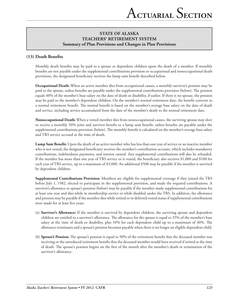# **(13) Death Benefits**

Monthly death benefits may be paid to a spouse or dependent children upon the death of a member. If monthly benefits are not payable under the supplemental contributions provision or occupational and nonoccupational death provisions, the designated beneficiary receives the lump sum benefit described below.

**Occupational Death:** When an active member dies from occupational causes, a monthly survivor's pension may be paid to the spouse, unless benefits are payable under the supplemental contributions provision (below). The pension equals 40% of the member's base salary on the date of death or disability, if earlier. If there is no spouse, the pension may be paid to the member's dependent children. On the member's normal retirement date, the benefit converts to a normal retirement benefit. The normal benefit is based on the member's average base salary on the date of death and service, including service accumulated from the date of the member's death to the normal retirement date.

**Nonoccupational Death:** When a vested member dies from nonoccupational causes, the surviving spouse may elect to receive a monthly 50% joint and survivor benefit or a lump sum benefit, unless benefits are payable under the supplemental contributions provision (below). The monthly benefit is calculated on the member's average base salary and TRS service accrued at the time of death.

**Lump Sum Benefit:** Upon the death of an active member who has less than one year of service or an inactive member who is not vested, the designated beneficiary receives the member's contribution account, which includes mandatory contributions, indebtedness payments, and interest earned. Any supplemental contributions will also be refunded. If the member has more than one year of TRS service or is vested, the beneficiary also receives \$1,000 and \$100 for each year of TRS service, up to a maximum of \$3,000. An additional \$500 may be payable if the member is survived by dependent children.

**Supplemental Contributions Provision:** Members are eligible for supplemental coverage if they joined the TRS before July 1, 1982, elected to participate in the supplemental provision, and made the required contributions. A survivor's allowance or spouse's pension (below) may be payable if the member made supplemental contributions for at least one year and dies while in membership service or while disabled under the TRS. In addition, the allowance and pension may be payable if the member dies while retired or in deferred vested status if supplemental contributions were made for at least five years.

- (a) **Survivor's Allowance:** If the member is survived by dependent children, the surviving spouse and dependent children are entitled to a survivor's allowance. The allowance for the spouse is equal to 35% of the member's base salary at the time of death or disability, plus 10% for each dependent child up to a maximum of 40%. The allowance terminates and a spouse's pension becomes payable when there is no longer an eligible dependent child.
- (b) **Spouse's Pension:** The spouse's pension is equal to 50% of the retirement benefit that the deceased member was receiving or the unreduced retirement benefit that the deceased member would have received if retired at the time of death. The spouse's pension begins on the first of the month after the member's death or termination of the survivor's allowance.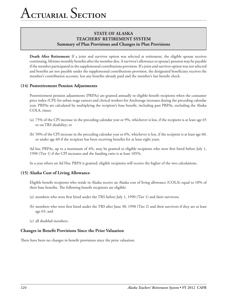**Death After Retirement:** If a joint and survivor option was selected at retirement, the eligible spouse receives continuing, lifetime monthly benefits after the member dies. A survivor's allowance or spouse's pension may be payable if the member participated in the supplemental contributions provision. If a joint and survivor option was not selected and benefits are not payable under the supplemental contributions provision, the designated beneficiary receives the member's contribution account, less any benefits already paid and the member's last benefit check.

## **(14) Postretirement Pension Adjustments**

Postretirement pension adjustments (PRPAs) are granted annually to eligible benefit recipients when the consumer price index (CPI) for urban wage earners and clerical workers for Anchorage increases during the preceding calendar year. PRPAs are calculated by multiplying the recipient's base benefit, including past PRPAs, excluding the Alaska COLA, times:

- (a) 75% of the CPI increase in the preceding calendar year or 9%, whichever is less, if the recipient is at least age 65 or on TRS disability; or
- (b) 50% of the CPI increase in the preceding calendar year or 6%, whichever is less, if the recipient is at least age 60, or under age 60 if the recipient has been receiving benefits for at least eight years.

Ad hoc PRPAs, up to a maximum of 4%, may be granted to eligible recipients who were first hired before July 1, 1990 (Tier 1) if the CPI increases and the funding ratio is at least 105%.

In a year where an Ad Hoc PRPA is granted, eligible recipients will receive the higher of the two calculations.

## **(15) Alaska Cost of Living Allowance**

Eligible benefit recipients who reside in Alaska receive an Alaska cost of living allowance (COLA) equal to 10% of their base benefits. The following benefit recipients are eligible:

- (a) members who were first hired under the TRS before July 1, 1990 (Tier 1) and their survivors;
- (b) members who were first hired under the TRS after June 30, 1990 (Tier 2) and their survivors if they are at least age 65; and
- (c) all disabled members.

## **Changes in Benefit Provisions Since the Prior Valuation**

There have been no changes in benefit provisions since the prior valuation.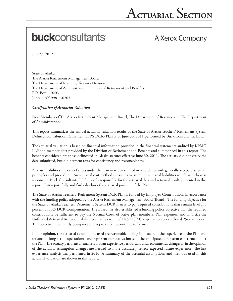# **buck**consultants

# A Xerox Company

July 27, 2012

State of Alaska The Alaska Retirement Management Board The Department of Revenue, Treasury Division The Department of Administration, Division of Retirement and Benefits P.O. Box 110203 Juneau, AK 99811-0203

#### *Certification of Actuarial Valuation*

Dear Members of The Alaska Retirement Management Board, The Department of Revenue and The Department of Administration:

This report summarizes the annual actuarial valuation results of the State of Alaska Teachers' Retirement System Defined Contribution Retirement (TRS DCR) Plan as of June 30, 2011 performed by Buck Consultants, LLC.

The actuarial valuation is based on financial information provided in the financial statements audited by KPMG LLP and member data provided by the Division of Retirement and Benefits and summarized in this report. The benefits considered are those delineated in Alaska statutes effective June 30, 2011. The actuary did not verify the data submitted, but did perform tests for consistency and reasonableness.

All costs, liabilities and other factors under the Plan were determined in accordance with generally accepted actuarial principles and procedures. An actuarial cost method is used to measure the actuarial liabilities which we believe is reasonable. Buck Consultants, LLC is solely responsible for the actuarial data and actuarial results presented in this report. This report fully and fairly discloses the actuarial position of the Plan.

The State of Alaska Teachers' Retirement System DCR Plan is funded by Employer Contributions in accordance with the funding policy adopted by the Alaska Retirement Management Board (Board). The funding objective for the State of Alaska Teachers' Retirement System DCR Plan is to pay required contributions that remain level as a percent of TRS DCR Compensation. The Board has also established a funding policy objective that the required contributions be sufficient to pay the Normal Costs of active plan members, Plan expenses, and amortize the Unfunded Actuarial Accrued Liability as a level percent of TRS DCR Compensation over a closed 25-year period. This objective is currently being met and is projected to continue to be met.

In our opinion, the actuarial assumptions used are reasonable, taking into account the experience of the Plan and reasonable long-term expectations, and represent our best estimate of the anticipated long-term experience under the Plan. The actuary performs an analysis of Plan experience periodically and recommends changes if, in the opinion of the actuary, assumption changes are needed to more accurately reflect expected future experience. The last experience analysis was performed in 2010. A summary of the actuarial assumptions and methods used in this actuarial valuation are shown in this report.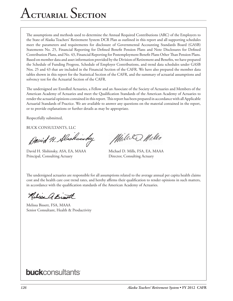# A**ctuarial** S**ection**

The assumptions and methods used to determine the Annual Required Contributions (ARC) of the Employers to the State of Alaska Teachers' Retirement System DCR Plan as outlined in this report and all supporting schedules meet the parameters and requirements for disclosure of Governmental Accounting Standards Board (GASB) Statements No. 25, Financial Reporting for Defined Benefit Pension Plans and Note Disclosures for Defined Contribution Plans, and No. 43, Financial Reporting for Postemployment Benefit Plans Other Than Pension Plans. Based on member data and asset information provided by the Division of Retirement and Benefits, we have prepared the Schedule of Funding Progress, Schedule of Employer Contributions, and trend data schedules under GASB Nos. 25 and 43 that are included in the Financial Section of the CAFR. We have also prepared the member data tables shown in this report for the Statistical Section of the CAFR, and the summary of actuarial assumptions and solvency test for the Actuarial Section of the CAFR.

The undersigned are Enrolled Actuaries, a Fellow and an Associate of the Society of Actuaries and Members of the American Academy of Actuaries and meet the Qualification Standards of the American Academy of Actuaries to render the actuarial opinions contained in this report. This report has been prepared in accordance with all Applicable Actuarial Standards of Practice. We are available to answer any questions on the material contained in the report, or to provide explanations or further details as may be appropriate.

Respectfully submitted,

BUCK CONSULTANTS, LLC

David H. Alschinsky

David H. Slishinsky, ASA, EA, MAAA Michael D. Mills, FSA, EA, MAAA Principal, Consulting Actuary **Director, Consulting Actuary** 

Mille D. Mills

The undersigned actuaries are responsible for all assumptions related to the average annual per capita health claims cost and the health care cost trend rates, and hereby affirms their qualification to render opinions in such matters, in accordance with the qualification standards of the American Academy of Actuaries.

Achie A. Bist

Melissa Bissett, FSA, MAAA Senior Consultant, Health & Productivity

# **buck**consultants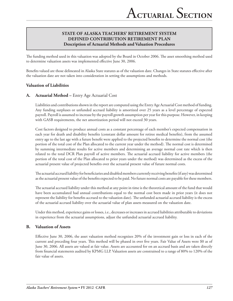# **STATE OF ALASKA Teachers' Retirement System Defined Contribution Retirement Plan Description of Actuarial Methods and Valuation Procedures**

The funding method used in this valuation was adopted by the Board in October 2006. The asset smoothing method used to determine valuation assets was implemented effective June 30, 2006.

Benefits valued are those delineated in Alaska State statutes as of the valuation date. Changes in State statutes effective after the valuation date are not taken into consideration in setting the assumptions and methods.

## **Valuation of Liabilities**

## **A. Actuarial Method –** Entry Age Actuarial Cost

Liabilities and contributions shown in the report are computed using the Entry Age Actuarial Cost method of funding. Any funding surpluses or unfunded accrued liability is amortized over 25 years as a level percentage of expected payroll. Payroll is assumed to increase by the payroll growth assumption per year for this purpose. However, in keeping with GASB requirements, the net amortization period will not exceed 30 years.

Cost factors designed to produce annual costs as a constant percentage of each member's expected compensation in each year for death and disability benefits (constant dollar amount for retiree medical benefits), from the assumed entry age to the last age with a future benefit were applied to the projected benefits to determine the normal cost (the portion of the total cost of the Plan allocated to the current year under the method). The normal cost is determined by summing intermediate results for active members and determining an average normal cost rate which is then related to the total DCR Plan payroll of active members. The actuarial accrued liability for active members (the portion of the total cost of the Plan allocated to prior years under the method) was determined as the excess of the actuarial present value of projected benefits over the actuarial present value of future normal costs.

The actuarial accrued liability for beneficiaries and disabled members currently receiving benefits (if any) was determined as the actuarial present value of the benefits expected to be paid. No future normal costs are payable for these members.

The actuarial accrued liability under this method at any point in time is the theoretical amount of the fund that would have been accumulated had annual contributions equal to the normal cost been made in prior years (it does not represent the liability for benefits accrued to the valuation date). The unfunded actuarial accrued liability is the excess of the actuarial accrued liability over the actuarial value of plan assets measured on the valuation date.

Under this method, experience gains or losses, i.e., decreases or increases in accrued liabilities attributable to deviations in experience from the actuarial assumptions, adjust the unfunded actuarial accrued liability.

#### **B. Valuation of Assets**

Effective June 30, 2006, the asset valuation method recognizes 20% of the investment gain or loss in each of the current and preceding four years. This method will be phased in over five years. Fair Value of Assets were \$0 as of June 30, 2006. All assets are valued at fair value. Assets are accounted for on an accrued basis and are taken directly from financial statements audited by KPMG LLP. Valuation assets are constrained to a range of 80% to 120% of the fair value of assets.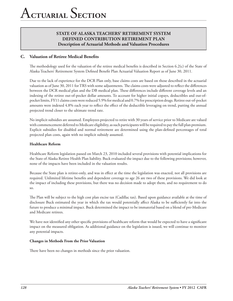# **STATE OF ALASKA Teachers' Retirement System Defined Contribution Retirement Plan Description of Actuarial Methods and Valuation Procedures**

# **C. Valuation of Retiree Medical Benefits**

The methodology used for the valuation of the retiree medical benefits is described in Section 6.2(c) of the State of Alaska Teachers' Retirement System Defined Benefit Plan Actuarial Valuation Report as of June 30, 2011.

Due to the lack of experience for the DCR Plan only, base claims costs are based on those described in the actuarial valuation as of June 30, 2011 for TRS with some adjustments. The claims costs were adjusted to reflect the differences between the DCR medical plan and the DB medical plan. These differences include different coverage levels and an indexing of the retiree out-of-pocket dollar amounts. To account for higher initial copays, deductibles and out-ofpocket limits, FY11 claims costs were reduced 5.9% for medical and 0.7% for prescription drugs. Retiree out-of-pocket amounts were indexed 4.8% each year to reflect the effect of the deductible leveraging on trend, putting the annual projected trend closer to the ultimate trend rate.

No implicit subsidies are assumed. Employees projected to retire with 30 years of service prior to Medicare are valued with commencement deferred to Medicare eligibility, as such participants will be required to pay the full plan premium. Explicit subsidies for disabled and normal retirement are determined using the plan-defined percentages of total projected plan costs, again with no implicit subsidy assumed.

#### **Healthcare Reform**

Healthcare Reform legislation passed on March 23, 2010 included several provisions with potential implications for the State of Alaska Retiree Health Plan liability. Buck evaluated the impact due to the following provisions; however, none of the impacts have been included in the valuation results.

Because the State plan is retiree-only, and was in effect at the time the legislation was enacted, not all provisions are required. Unlimited lifetime benefits and dependent coverage to age 26 are two of these provisions. We did look at the impact of including these provisions, but there was no decision made to adopt them, and no requirement to do so.

The Plan will be subject to the high cost plan excise tax (Cadillac tax). Based upon guidance available at the time of disclosure Buck estimated the year in which the tax would potentially affect Alaska to be sufficiently far into the future to produce a minimal impact. Buck determined the impact to be immaterial based on a blend of pre-Medicare and Medicare retirees.

We have not identified any other specific provisions of healthcare reform that would be expected to have a significant impact on the measured obligation. As additional guidance on the legislation is issued, we will continue to monitor any potential impacts.

#### **Changes in Methods From the Prior Valuation**

There have been no changes in methods since the prior valuation.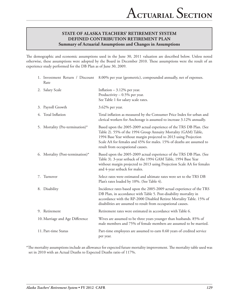The demographic and economic assumptions used in the June 30, 2011 valuation are described below. Unless noted otherwise, these assumptions were adopted by the Board in December 2010. These assumptions were the result of an experience study performed for the DB Plan as of June 30, 2009.

| Rate                             | 1. Investment Return / Discount 8.00% per year (geometric), compounded annually, net of expenses.                                                                                                                                                                                                                     |
|----------------------------------|-----------------------------------------------------------------------------------------------------------------------------------------------------------------------------------------------------------------------------------------------------------------------------------------------------------------------|
| 2. Salary Scale                  | Inflation $-3.12%$ per year.<br>Productivity $-0.5%$ per year.<br>See Table 1 for salary scale rates.                                                                                                                                                                                                                 |
| 3. Payroll Growth                | 3.62% per year.                                                                                                                                                                                                                                                                                                       |
| 4. Total Inflation               | Total inflation as measured by the Consumer Price Index for urban and<br>clerical workers for Anchorage is assumed to increase 3.12% annually.                                                                                                                                                                        |
| 5. Mortality (Pre-termination)*  | Based upon the 2005-2009 actual experience of the TRS DB Plan. (See<br>Table 2). 55% of the 1994 Group Annuity Mortality (GAM) Table,<br>1994 Base Year without margin projected to 2013 using Projection<br>Scale AA for females and 45% for males. 15% of deaths are assumed to<br>result from occupational causes. |
| 6. Mortality (Post-termination)* | Based upon the 2005-2009 actual experience of the TRS DB Plan. (See<br>Table 3). 3-year setback of the 1994 GAM Table, 1994 Base Year<br>without margin projected to 2013 using Projection Scale AA for females<br>and 4-year setback for males.                                                                      |
| 7. Turnover                      | Select rates were estimated and ultimate rates were set to the TRS DB<br>Plan's rates loaded by 10%. (See Table 4).                                                                                                                                                                                                   |
| 8. Disability                    | Incidence rates based upon the 2005-2009 actual experience of the TRS<br>DB Plan, in accordance with Table 5. Post-disability mortality in<br>accordance with the RP-2000 Disabled Retiree Mortality Table. 15% of<br>disabilities are assumed to result from occupational causes.                                    |
| 9. Retirement                    | Retirement rates were estimated in accordance with Table 6.                                                                                                                                                                                                                                                           |
| 10. Marriage and Age Difference  | Wives are assumed to be three years younger than husbands. 85% of<br>male members and 75% of female members are assumed to be married.                                                                                                                                                                                |
| 11. Part-time Status             | Part-time employees are assumed to earn 0.60 years of credited service<br>per year.                                                                                                                                                                                                                                   |

\*The mortality assumptions include an allowance for expected future mortality improvement. The mortality table used was set in 2010 with an Actual Deaths to Expected Deaths ratio of 117%.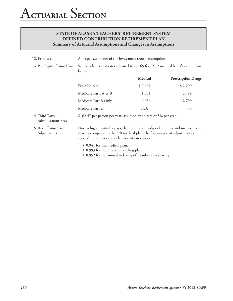| 12. Expenses                          | All expenses are net of the investment return assumption.                                                                                                                                                            |                                                                                 |                           |  |
|---------------------------------------|----------------------------------------------------------------------------------------------------------------------------------------------------------------------------------------------------------------------|---------------------------------------------------------------------------------|---------------------------|--|
| 13. Per Capita Claims Cost            | below:                                                                                                                                                                                                               | Sample claims cost rates adjusted to age 65 for FY12 medical benefits are shown |                           |  |
|                                       |                                                                                                                                                                                                                      | <b>Medical</b>                                                                  | <b>Prescription Drugs</b> |  |
|                                       | Pre-Medicare                                                                                                                                                                                                         | \$9,497                                                                         | \$2,799                   |  |
|                                       | Medicare Parts A & B                                                                                                                                                                                                 | 1,551                                                                           | 2,799                     |  |
|                                       | Medicare Part B Only                                                                                                                                                                                                 | 6,936                                                                           | 2,799                     |  |
|                                       | Medicare Part D                                                                                                                                                                                                      | N/A                                                                             | 534                       |  |
| 14. Third Party<br>Administrator Fees | \$162.47 per person per year; assumed trend rate of 5% per year.                                                                                                                                                     |                                                                                 |                           |  |
| 15. Base Claims Cost<br>Adjustments   | Due to higher initial copays, deductibles, out-of-pocket limits and member cost<br>sharing compared to the DB medical plan, the following cost adjustments are<br>applied to the per capita claims cost rates above: |                                                                                 |                           |  |
|                                       | • 0.941 for the medical plan.<br>• 0.993 for the prescription drug plan.<br>• 0.952 for the annual indexing of member cost sharing.                                                                                  |                                                                                 |                           |  |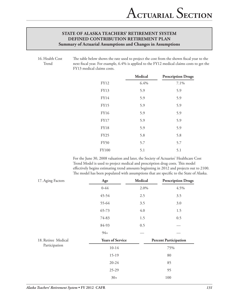16. Health Cost Trend The table below shows the rate used to project the cost from the shown fiscal year to the next fiscal year. For example, 6.4% is applied to the FY12 medical claims costs to get the FY13 medical claims costs.

|              | <b>Medical</b> | <b>Prescription Drugs</b> |
|--------------|----------------|---------------------------|
| <b>FY12</b>  | 6.4%           | 7.1%                      |
| FY13         | 5.9            | 5.9                       |
| <b>FY14</b>  | 5.9            | 5.9                       |
| <b>FY15</b>  | 5.9            | 5.9                       |
| <b>FY16</b>  | 5.9            | 5.9                       |
| <b>FY17</b>  | 5.9            | 5.9                       |
| <b>FY18</b>  | 5.9            | 5.9                       |
| <b>FY25</b>  | 5.8            | 5.8                       |
| <b>FY50</b>  | 5.7            | 5.7                       |
| <b>FY100</b> | 5.1            | 5.1                       |

For the June 30, 2008 valuation and later, the Society of Actuaries' Healthcare Cost Trend Model is used to project medical and prescription drug costs. This model effectively begins estimating trend amounts beginning in 2012 and projects out to 2100. The model has been populated with assumptions that are specific to the State of Alaska.

| 17. Aging Factors   | Age                     | Medical | <b>Prescription Drugs</b>    |
|---------------------|-------------------------|---------|------------------------------|
|                     | $0 - 44$                | 2.0%    | 4.5%                         |
|                     | 45-54                   | 2.5     | 3.5                          |
|                     | 55-64                   | 3.5     | 3.0                          |
|                     | 65-73                   | 4.0     | 1.5                          |
|                     | 74-83                   | 1.5     | 0.5                          |
|                     | 84-93                   | 0.5     |                              |
|                     | $94+$                   |         |                              |
| 18. Retiree Medical | <b>Years of Service</b> |         | <b>Percent Participation</b> |
| Participation       | $10-14$                 |         | 75%                          |
|                     | 15-19                   |         | 80                           |
|                     | $20 - 24$               |         | 85                           |
|                     | $25-29$                 |         | 95                           |
|                     | $30+$                   |         | 100                          |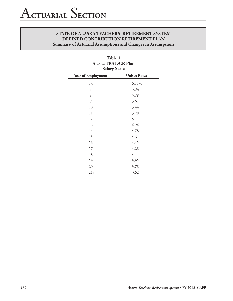| <b>Salary Scale</b> |                     |  |  |
|---------------------|---------------------|--|--|
| Year of Employment  | <b>Unisex Rates</b> |  |  |
| $1-6$               | 6.11%               |  |  |
| 7                   | 5.94                |  |  |
| 8                   | 5.78                |  |  |
| 9                   | 5.61                |  |  |
| 10                  | 5.44                |  |  |
| 11                  | 5.28                |  |  |
| 12                  | 5.11                |  |  |
| 13                  | 4.94                |  |  |
| 14                  | 4.78                |  |  |
| 15                  | 4.61                |  |  |
| 16                  | 4.45                |  |  |
| 17                  | 4.28                |  |  |
| 18                  | 4.11                |  |  |
| 19                  | 3.95                |  |  |
| 20                  | 3.78                |  |  |
| $21+$               | 3.62                |  |  |

# **Table 1 Alaska TRS DCR Plan**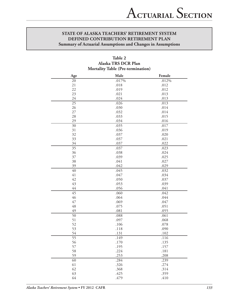| Mortality lable (Pre-termination) |              |              |  |  |  |
|-----------------------------------|--------------|--------------|--|--|--|
| Age                               | Male         | Female       |  |  |  |
| 20                                | .017%        | .012%        |  |  |  |
| 21                                | .018         | .012         |  |  |  |
| 22                                | .019         | .012         |  |  |  |
| 23                                | .021         | .013         |  |  |  |
| 24                                | .024         | .013         |  |  |  |
| 25                                | .026         | .013         |  |  |  |
| 26                                | .030         | .014         |  |  |  |
| $27\,$                            | .032         | .014         |  |  |  |
| 28                                | .033         | .015         |  |  |  |
| 29                                | .034         | .016         |  |  |  |
| 30                                | .035         | .017         |  |  |  |
| 31                                | .036         | .019         |  |  |  |
| 32                                | .037         | .020         |  |  |  |
| 33                                | .037         | .021         |  |  |  |
| 34                                | .037         | .022         |  |  |  |
| $\overline{35}$                   | .037         | .023         |  |  |  |
| 36                                | .038         | .024         |  |  |  |
| 37                                | .039         | .025         |  |  |  |
| 38                                | .041         | .027         |  |  |  |
| 39                                | .042         | .029         |  |  |  |
| $40\,$                            | .045         | .032         |  |  |  |
| 41                                | .047         | .034         |  |  |  |
| 42                                | .050         | .037         |  |  |  |
| 43                                | .053         | .039         |  |  |  |
| 44<br>45                          | .056<br>.060 | .041<br>.042 |  |  |  |
| 46                                | .064         | .044         |  |  |  |
| 47                                | .069         | .047         |  |  |  |
| 48                                | .075         | .051         |  |  |  |
| 49                                | .081         | .055         |  |  |  |
| 50                                | .088         | .061         |  |  |  |
| 51                                | .097         | .068         |  |  |  |
| 52                                | .106         | .078         |  |  |  |
| 53                                | .118         | .090         |  |  |  |
| 54                                | .131         | .102         |  |  |  |
| $\overline{55}$                   | .149         | .116         |  |  |  |
| 56                                | .170         | .135         |  |  |  |
| 57                                | .195         | .157         |  |  |  |
| 58                                | .224         | .181         |  |  |  |
| 59                                | .253         | .208         |  |  |  |
| 60                                | .284         | .239         |  |  |  |
| 61                                | .326         | .274         |  |  |  |
| 62                                | .368         | .314         |  |  |  |
| 63                                | .425         | .359         |  |  |  |
| 64                                | .479         | .410         |  |  |  |

# **Table 2 Alaska TRS DCR Plan Mortality Table (Pre-termination)**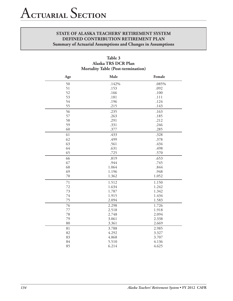| Age | Male  | Female |
|-----|-------|--------|
| 50  | .142% | .085%  |
| 51  | .153  | .092   |
| 52  | .166  | .100   |
| 53  | .181  | .111   |
| 54  | .196  | .124   |
| 55  | .215  | .143   |
| 56  | .235  | .163   |
| 57  | .263  | .185   |
| 58  | .291  | .212   |
| 59  | .331  | .246   |
| 60  | .377  | .285   |
| 61  | .433  | .328   |
| 62  | .499  | .378   |
| 63  | .561  | .434   |
| 64  | .631  | .498   |
| 65  | .725  | .570   |
| 66  | .819  | .653   |
| 67  | .944  | .745   |
| 68  | 1.064 | .844   |
| 69  | 1.196 | .948   |
| 70  | 1.362 | 1.052  |
| 71  | 1.512 | 1.150  |
| 72  | 1.634 | 1.242  |
| 73  | 1.787 | 1.342  |
| 74  | 1.915 | 1.434  |
| 75  | 2.094 | 1.583  |
| 76  | 2.298 | 1.726  |
| 77  | 2.518 | 1.918  |
| 78  | 2.748 | 2.094  |
| 79  | 3.061 | 2.338  |
| 80  | 3.361 | 2.669  |
| 81  | 3.788 | 2.985  |
| 82  | 4.292 | 3.327  |
| 83  | 4.868 | 3.707  |
| 84  | 5.510 | 4.136  |
| 85  | 6.214 | 4.625  |

**Table 3 Alaska TRS DCR Plan Mortality Table (Post-termination)**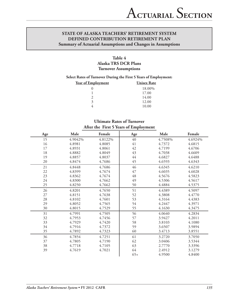# **Table 4 Alaska TRS DCR Plans Turnover Assumptions**

#### **Select Rates of Turnover During the First 5 Years of Employment:**

| <u>Year of Employment</u> | <b>Unisex Rate</b> |
|---------------------------|--------------------|
|                           | 18.00%             |
|                           | 17.00              |
|                           | 14.00              |
| 3                         | 12.00              |
|                           | 10.00              |

# **Ultimate Rates of Turnover After the First 5 Years of Employment**

| Age | Male    | Female  | Age         | Male    | Female  |
|-----|---------|---------|-------------|---------|---------|
| 15  | 4.9042% | 4.8122% | $40\,$      | 4.7508% | 4.6924% |
| 16  | 4.8981  | 4.8085  | 41          | 4.7372  | 4.6815  |
| 17  | 4.8931  | 4.8061  | 42          | 4.7199  | 4.6706  |
| 18  | 4.8882  | 4.8049  | 43          | 4.7038  | 4.6609  |
| 19  | 4.8857  | 4.8037  | $44\,$      | 4.6827  | 4.6488  |
| 20  | 4.8474  | 4.7686  | 45          | 4.6593  | 4.6343  |
| 21  | 4.8448  | 4.7686  | 46          | 4.6345  | 4.6210  |
| 22  | 4.8399  | 4.7674  | 47          | 4.6035  | 4.6028  |
| 23  | 4.8362  | 4.7674  | $\sqrt{48}$ | 4.5676  | 4.5823  |
| 24  | 4.8300  | 4.7662  | 49          | 4.5306  | 4.5617  |
| 25  | 4.8250  | 4.7662  | 50          | 4.4884  | 4.5375  |
| 26  | 4.8201  | 4.7650  | 51          | 4.4389  | 4.5097  |
| 27  | 4.8151  | 4.7638  | 52          | 4.3808  | 4.4770  |
| 28  | 4.8102  | 4.7601  | 53          | 4.3164  | 4.4383  |
| 29  | 4.8052  | 4.7565  | 54          | 4.2447  | 4.3971  |
| 30  | 4.8015  | 4.7529  | 55          | 4.1630  | 4.3475  |
| 31  | 4.7991  | 4.7505  | 56          | 4.0640  | 4.2834  |
| 32  | 4.7953  | 4.7456  | 57          | 3.9427  | 4.2011  |
| 33  | 4.7929  | 4.7420  | 58          | 3.8103  | 4.1080  |
| 34  | 4.7916  | 4.7372  | 59          | 3.6507  | 3.9894  |
| 35  | 4.7892  | 4.7323  | 60          | 3.4713  | 3.8551  |
| 36  | 4.7854  | 4.7251  | 61          | 3.2720  | 3.7050  |
| 37  | 4.7805  | 4.7190  | 62          | 3.0406  | 3.5344  |
| 38  | 4.7718  | 4.7105  | 63          | 2.7770  | 3.3396  |
| 39  | 4.7619  | 4.7021  | 64          | 2.4912  | 3.1279  |
|     |         |         | $65+$       | 4.9500  | 4.8400  |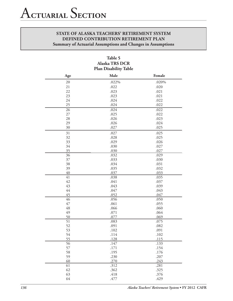| Plan Disability Table |       |        |  |  |
|-----------------------|-------|--------|--|--|
| Age                   | Male  | Female |  |  |
| 20                    | .022% | .020%  |  |  |
| 21                    | .022  | .020   |  |  |
| 22                    | .023  | .021   |  |  |
| 23                    | .023  | .021   |  |  |
| 24                    | .024  | .022   |  |  |
| 25                    | .024  | .022   |  |  |
| 26                    | .024  | .022   |  |  |
| $27\,$                | .025  | .022   |  |  |
| 28                    | .026  | .023   |  |  |
| 29                    | .026  | .024   |  |  |
| 30                    | .027  | .025   |  |  |
| 31                    | .027  | .025   |  |  |
| 32                    | .028  | .025   |  |  |
| 33                    | .029  | .026   |  |  |
| 34                    | .030  | .027   |  |  |
| 35                    | .030  | .027   |  |  |
| 36                    | .032  | .029   |  |  |
| $37\,$                | .033  | .030   |  |  |
| 38                    | .034  | .031   |  |  |
| 39                    | .035  | .032   |  |  |
| 40                    | .037  | .033   |  |  |
| 41                    | .038  | .035   |  |  |
| 42                    | .041  | .037   |  |  |
| 43                    | .043  | .039   |  |  |
| 44                    | .047  | .043   |  |  |
| 45                    | .052  | .047   |  |  |
| 46                    | .056  | .050   |  |  |
| 47                    | .061  | .055   |  |  |
| 48                    | .066  | .060   |  |  |
| 49                    | .071  | .064   |  |  |
| 50                    | .077  | .069   |  |  |
| $\overline{51}$       | .083  | .075   |  |  |
| 52                    | .091  | .082   |  |  |
| 53                    | .102  | .091   |  |  |
| 54                    | .114  | .102   |  |  |
| 55                    | .128  | .115   |  |  |
| 56                    | .147  | .133   |  |  |
| 57                    | .171  | .154   |  |  |
| 58                    | .195  | .176   |  |  |
| 59                    | .230  | .207   |  |  |
| 60                    | .270  | .243   |  |  |
| 61                    | .312  | .281   |  |  |
| 62                    | .362  | .325   |  |  |
| 63                    | .418  | .376   |  |  |
| 64                    | .477  | .429   |  |  |

# **Table 5 Alaska TRS DCR Plan Disability Table**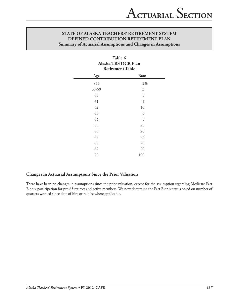| Table 6<br>Alaska TRS DCR Plan<br><b>Retirement Table</b> |     |  |  |  |
|-----------------------------------------------------------|-----|--|--|--|
| Rate<br>Age                                               |     |  |  |  |
| < 55                                                      | 2%  |  |  |  |
| 55-59                                                     | 3   |  |  |  |
| 60                                                        | 5   |  |  |  |
| 61                                                        | 5   |  |  |  |
| 62                                                        | 10  |  |  |  |
| 63                                                        | 5   |  |  |  |
| 64                                                        | 5   |  |  |  |
| 65                                                        | 25  |  |  |  |
| 66                                                        | 25  |  |  |  |
| 67                                                        | 25  |  |  |  |
| 68                                                        | 20  |  |  |  |
| 69                                                        | 20  |  |  |  |
| 70                                                        | 100 |  |  |  |

## **Changes in Actuarial Assumptions Since the Prior Valuation**

There have been no changes in assumptions since the prior valuation, except for the assumption regarding Medicare Part B only participation for pre-65 retirees and active members. We now determine the Part B only status based on number of quarters worked since date of hire or re-hire where applicable.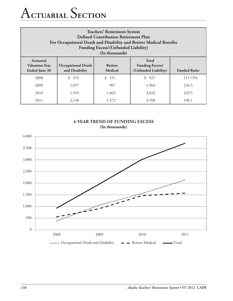# A**ctuarial** S**ection**

| <b>Teachers' Retirement System</b><br><b>Defined Contribution Retirement Plan</b><br>For Occupational Death and Disability and Retiree Medical Benefits<br><b>Funding Excess/(Unfunded Liability)</b><br>(In thousands)         |                      |       |       |         |  |
|---------------------------------------------------------------------------------------------------------------------------------------------------------------------------------------------------------------------------------|----------------------|-------|-------|---------|--|
| <b>Total</b><br>Actuarial<br><b>Retiree</b><br><b>Valuation Year</b><br><b>Occupational Death</b><br><b>Funding Excess/</b><br>(Unfunded Liability)<br>and Disability<br>Medical<br><b>Funded Ratio</b><br><b>Ended June 30</b> |                      |       |       |         |  |
| 2008                                                                                                                                                                                                                            | $\mathcal{S}$<br>376 | \$551 | \$927 | 215.73% |  |
| 2009                                                                                                                                                                                                                            | 1,057                | 907   | 1,964 | 234.5   |  |
| 2010                                                                                                                                                                                                                            | 1,559                | 1,465 | 3,024 | 223.5   |  |
| 2011                                                                                                                                                                                                                            | 2,136                | 1,572 | 3,708 | 196.1   |  |



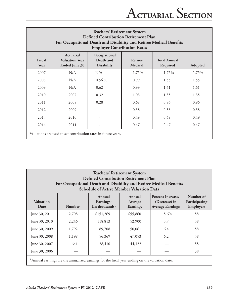| <b>Teachers' Retirement System</b><br><b>Defined Contribution Retirement Plan</b><br>For Occupational Death and Disability and Retiree Medical Benefits<br><b>Employer Contribution Rates</b> |                                                            |                                                |                                  |                                 |         |
|-----------------------------------------------------------------------------------------------------------------------------------------------------------------------------------------------|------------------------------------------------------------|------------------------------------------------|----------------------------------|---------------------------------|---------|
| Fiscal<br>Year                                                                                                                                                                                | Actuarial<br><b>Valuation Year</b><br><b>Ended June 30</b> | Occupational<br>Death and<br><b>Disability</b> | <b>Retiree</b><br><b>Medical</b> | <b>Total Annual</b><br>Required | Adopted |
| 2007                                                                                                                                                                                          | N/A                                                        | N/A                                            | 1.75%                            | 1.75%                           | 1.75%   |
| 2008                                                                                                                                                                                          | N/A                                                        | $0.56\%$                                       | 0.99                             | 1.55                            | 1.55    |
| 2009                                                                                                                                                                                          | N/A                                                        | 0.62                                           | 0.99                             | 1.61                            | 1.61    |
| 2010                                                                                                                                                                                          | 2007                                                       | 0.32                                           | 1.03                             | 1.35                            | 1.35    |
| 2011                                                                                                                                                                                          | 2008                                                       | 0.28                                           | 0.68                             | 0.96                            | 0.96    |
| 2012                                                                                                                                                                                          | 2009                                                       |                                                | 0.58                             | 0.58                            | 0.58    |
| 2013                                                                                                                                                                                          | 2010                                                       |                                                | 0.49                             | 0.49                            | 0.49    |
| 2014                                                                                                                                                                                          | 2011                                                       |                                                | 0.47                             | 0.47                            | 0.47    |
| Valuations are used to set contribution rates in future years.                                                                                                                                |                                                            |                                                |                                  |                                 |         |

| <b>Teachers' Retirement System</b><br><b>Defined Contribution Retirement Plan</b><br>For Occupational Death and Disability and Retiree Medical Benefits<br><b>Schedule of Active Member Valuation Data</b> |               |                                                   |                                         |      |    |
|------------------------------------------------------------------------------------------------------------------------------------------------------------------------------------------------------------|---------------|---------------------------------------------------|-----------------------------------------|------|----|
| <b>Valuation</b><br>Date                                                                                                                                                                                   | <b>Number</b> | Annual<br>Earnings <sup>1</sup><br>(In thousands) | Number of<br>Participating<br>Employers |      |    |
| June 30, 2011                                                                                                                                                                                              | 2,708         | \$151,269                                         | \$55,860                                | 5.6% | 58 |
| June 30, 2010                                                                                                                                                                                              | 2,246         | 118,813                                           | 52,900                                  | 5.7  | 58 |
| June 30, 2009                                                                                                                                                                                              | 1,792         | 89,708                                            | 50,061                                  | 6.4  | 58 |
| June 30, 2008                                                                                                                                                                                              | 1,198         | 56,369                                            | 47,053                                  | 6.2  | 58 |
| June 30, 2007                                                                                                                                                                                              | 641           | 28,410                                            | 44,322                                  |      | 58 |
| 58<br>June 30, 2006                                                                                                                                                                                        |               |                                                   |                                         |      |    |
| <sup>1</sup> Annual earnings are the annualized earnings for the fiscal year ending on the valuation date.                                                                                                 |               |                                                   |                                         |      |    |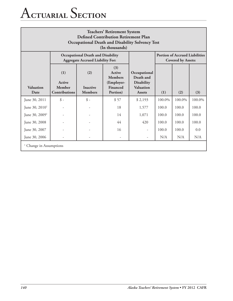# A**ctuarial** S**ection**

| <b>Teachers' Retirement System</b><br><b>Defined Contribution Retirement Plan</b><br><b>Occupational Death and Disability Solvency Test</b><br>(In thousands) |                                                                                     |                                          |                                                                       |                                                                              |        |                                                                    |        |  |
|---------------------------------------------------------------------------------------------------------------------------------------------------------------|-------------------------------------------------------------------------------------|------------------------------------------|-----------------------------------------------------------------------|------------------------------------------------------------------------------|--------|--------------------------------------------------------------------|--------|--|
|                                                                                                                                                               | <b>Occupational Death and Disability</b><br><b>Aggregate Accrued Liability For:</b> |                                          |                                                                       |                                                                              |        | <b>Portion of Accrued Liabilities</b><br><b>Covered by Assets:</b> |        |  |
| Valuation<br>Date                                                                                                                                             | (1)<br>Active<br>Member<br>Contributions                                            | (2)<br><b>Inactive</b><br><b>Members</b> | (3)<br>Active<br><b>Members</b><br>(Employer-<br>Financed<br>Portion) | Occupational<br>Death and<br><b>Disability</b><br>Valuation<br><b>Assets</b> | (1)    | (2)                                                                | (3)    |  |
| June 30, 2011                                                                                                                                                 | $\oint$ -                                                                           | $\oint$ –                                | \$57                                                                  | \$2,193                                                                      | 100.0% | 100.0%                                                             | 100.0% |  |
| June $30, 20101$                                                                                                                                              |                                                                                     |                                          | 18                                                                    | 1,577                                                                        | 100.0  | 100.0                                                              | 100.0  |  |
| June 30, 2009 <sup>1</sup>                                                                                                                                    |                                                                                     |                                          | 14                                                                    | 1,071                                                                        | 100.0  | 100.0                                                              | 100.0  |  |
| June 30, 2008                                                                                                                                                 |                                                                                     |                                          | 44                                                                    | 420                                                                          | 100.0  | 100.0                                                              | 100.0  |  |
| June 30, 2007                                                                                                                                                 |                                                                                     |                                          | 16                                                                    |                                                                              | 100.0  | 100.0                                                              | 0.0    |  |
| June 30, 2006                                                                                                                                                 |                                                                                     |                                          |                                                                       |                                                                              | N/A    | N/A                                                                | N/A    |  |
| Change in Assumptions                                                                                                                                         |                                                                                     |                                          |                                                                       |                                                                              |        |                                                                    |        |  |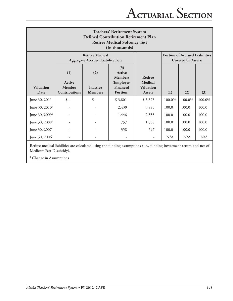| <b>Teachers' Retirement System</b><br><b>Defined Contribution Retirement Plan</b><br><b>Retiree Medical Solvency Test</b><br>(In thousands) |                                          |                                          |                                                                       |                                                                |                                                                    |        |        |
|---------------------------------------------------------------------------------------------------------------------------------------------|------------------------------------------|------------------------------------------|-----------------------------------------------------------------------|----------------------------------------------------------------|--------------------------------------------------------------------|--------|--------|
| <b>Retiree Medical</b><br><b>Aggregate Accrued Liability For:</b>                                                                           |                                          |                                          |                                                                       |                                                                | <b>Portion of Accrued Liabilities</b><br><b>Covered by Assets:</b> |        |        |
| <b>Valuation</b><br>Date                                                                                                                    | (1)<br>Active<br>Member<br>Contributions | (2)<br><b>Inactive</b><br><b>Members</b> | (3)<br>Active<br><b>Members</b><br>(Employer-<br>Financed<br>Portion) | <b>Retiree</b><br>Medical<br><b>Valuation</b><br><b>Assets</b> | (1)                                                                | (2)    | (3)    |
| June 30, 2011                                                                                                                               | $\oint$ -                                | $\hat{\mathcal{S}}$ -                    | \$3,801                                                               | \$5,373                                                        | 100.0%                                                             | 100.0% | 100.0% |
| June $30, 20101$                                                                                                                            |                                          |                                          | 2,430                                                                 | 3,895                                                          | 100.0                                                              | 100.0  | 100.0  |
| June 30, 2009 <sup>1</sup>                                                                                                                  |                                          |                                          | 1,446                                                                 | 2,353                                                          | 100.0                                                              | 100.0  | 100.0  |
| June $30, 20081$                                                                                                                            |                                          |                                          | 757                                                                   | 1,308                                                          | 100.0                                                              | 100.0  | 100.0  |
| June 30, 2007                                                                                                                               |                                          |                                          | 358                                                                   | 597                                                            | 100.0                                                              | 100.0  | 100.0  |
| June 30, 2006                                                                                                                               |                                          |                                          |                                                                       | $\overline{\phantom{a}}$                                       | N/A                                                                | N/A    | N/A    |

Retiree medical liabilities are calculated using the funding assumptions (i.e., funding investment return and net of Medicare Part D subsidy).

<sup>1</sup> Change in Assumptions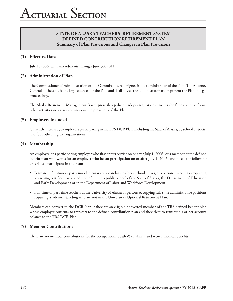# **STATE OF ALASKA Teachers' Retirement System Defined Contribution Retirement Plan Summary of Plan Provisions and Changes in Plan Provisions**

## **(1) Effective Date**

July 1, 2006, with amendments through June 30, 2011.

#### **(2) Administration of Plan**

The Commissioner of Administration or the Commissioner's designee is the administrator of the Plan. The Attorney General of the state is the legal counsel for the Plan and shall advise the administrator and represent the Plan in legal proceedings.

The Alaska Retirement Management Board prescribes policies, adopts regulations, invests the funds, and performs other activities necessary to carry out the provisions of the Plan.

#### **(3) Employers Included**

Currently there are 58 employers participating in the TRS DCR Plan, including the State of Alaska, 53 school districts, and four other eligible organizations.

#### **(4) Membership**

An employee of a participating employer who first enters service on or after July 1, 2006, or a member of the defined benefit plan who works for an employer who began participation on or after July 1, 2006, and meets the following criteria is a participant in the Plan:

- • Permanent full-time or part-time elementary or secondary teachers, school nurses, or a person in a position requiring a teaching certificate as a condition of hire in a public school of the State of Alaska, the Department of Education and Early Development or in the Department of Labor and Workforce Development.
- • Full-time or part-time teachers at the University of Alaska or persons occupying full-time administrative positions requiring academic standing who are not in the University's Optional Retirement Plan.

Members can convert to the DCR Plan if they are an eligible nonvested member of the TRS defined benefit plan whose employer consents to transfers to the defined contribution plan and they elect to transfer his or her account balance to the TRS DCR Plan.

#### **(5) Member Contributions**

There are no member contributions for the occupational death & disability and retiree medical benefits.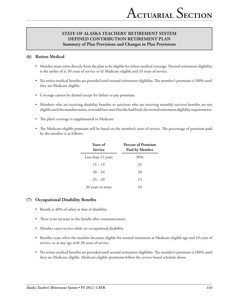# **STATE OF ALASKA Teachers' Retirement System Defined Contribution Retirement Plan Summary of Plan Provisions and Changes in Plan Provisions**

# **(6) Retiree Medical**

- • Member must retire directly from the plan to be eligible for retiree medical coverage. Normal retirement eligibility is the earlier of a) 30 years of service or b) Medicare eligible and 10 years of service.
- • No retiree medical benefits are provided until normal retirement eligibility. The member's premium is 100% until they are Medicare eligible.
- • Coverage cannot be denied except for failure to pay premium.
- • Members who are receiving disability benefits or survivors who are receiving monthly survivor benefits are not eligible until the member meets, or would have met if he/she had lived, the normal retirement eligibility requirements.
- • The plan's coverage is supplemental to Medicare.
- • The Medicare-eligible premium will be based on the member's years of service. The percentage of premium paid by the member is as follows:

| <b>Years of</b><br><b>Service</b> | <b>Percent of Premium</b><br><b>Paid by Member</b> |
|-----------------------------------|----------------------------------------------------|
| Less than 15 years                | 30%                                                |
| $15 - 19$                         | 25                                                 |
| $20 - 24$                         | 20                                                 |
| $25 - 29$                         | 15                                                 |
| 30 years or more                  | 10                                                 |

## **(7) Occupational Disability Benefits**

- Benefit is 40% of salary at date of disability.
- There is no increase in the benefit after commencement.
- Member earns service while on occupational disability.
- • Benefits cease when the member becomes eligible for normal retirement at Medicare-eligible age and 10 years of service, or at any age with 30 years of service.
- • No retiree medical benefits are provided until normal retirement eligibility. The member's premium is 100% until they are Medicare eligible. Medicare-eligible premiums follow the service-based schedule above.